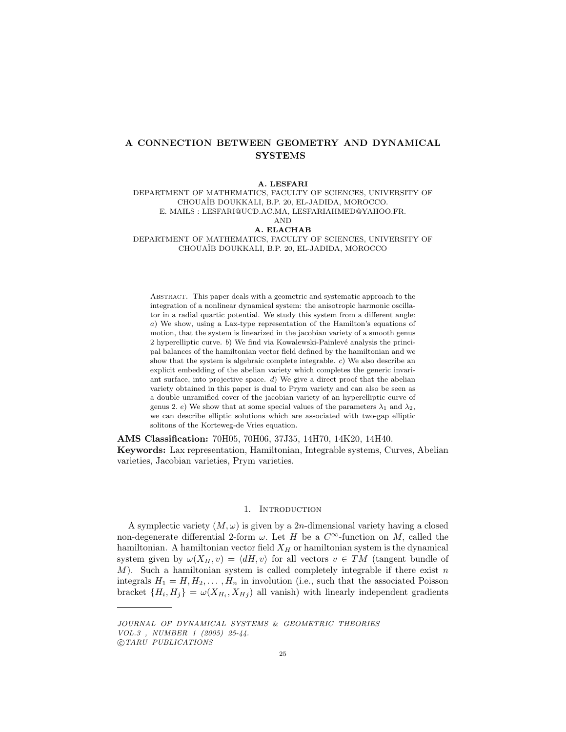# A CONNECTION BETWEEN GEOMETRY AND DYNAMICAL SYSTEMS

A. LESFARI DEPARTMENT OF MATHEMATICS, FACULTY OF SCIENCES, UNIVERSITY OF CHOUA¨IB DOUKKALI, B.P. 20, EL-JADIDA, MOROCCO. E. MAILS : LESFARI@UCD.AC.MA, LESFARIAHMED@YAHOO.FR. AND A. ELACHAB DEPARTMENT OF MATHEMATICS, FACULTY OF SCIENCES, UNIVERSITY OF

CHOUA¨IB DOUKKALI, B.P. 20, EL-JADIDA, MOROCCO

Abstract. This paper deals with a geometric and systematic approach to the integration of a nonlinear dynamical system: the anisotropic harmonic oscillator in a radial quartic potential. We study this system from a different angle: a) We show, using a Lax-type representation of the Hamilton's equations of motion, that the system is linearized in the jacobian variety of a smooth genus 2 hyperelliptic curve.  $b$ ) We find via Kowalewski-Painlevé analysis the principal balances of the hamiltonian vector field defined by the hamiltonian and we show that the system is algebraic complete integrable. c) We also describe an explicit embedding of the abelian variety which completes the generic invariant surface, into projective space. d) We give a direct proof that the abelian variety obtained in this paper is dual to Prym variety and can also be seen as a double unramified cover of the jacobian variety of an hyperelliptic curve of genus 2. e) We show that at some special values of the parameters  $\lambda_1$  and  $\lambda_2$ , we can describe elliptic solutions which are associated with two-gap elliptic solitons of the Korteweg-de Vries equation.

AMS Classification: 70H05, 70H06, 37J35, 14H70, 14K20, 14H40. Keywords: Lax representation, Hamiltonian, Integrable systems, Curves, Abelian varieties, Jacobian varieties, Prym varieties.

### 1. INTRODUCTION

A symplectic variety  $(M, \omega)$  is given by a 2n-dimensional variety having a closed non-degenerate differential 2-form  $\omega$ . Let H be a  $C^{\infty}$ -function on M, called the hamiltonian. A hamiltonian vector field  $X_H$  or hamiltonian system is the dynamical system given by  $\omega(X_H, v) = \langle dH, v \rangle$  for all vectors  $v \in TM$  (tangent bundle of  $M$ ). Such a hamiltonian system is called completely integrable if there exist n integrals  $H_1 = H, H_2, \ldots, H_n$  in involution (i.e., such that the associated Poisson bracket  $\{H_i, H_j\} = \omega(X_{H_i}, X_{H_j})$  all vanish) with linearly independent gradients

JOURNAL OF DYNAMICAL SYSTEMS & GEOMETRIC THEORIES VOL.3 , NUMBER 1 (2005) 25-44.

<sup>°</sup>c TARU PUBLICATIONS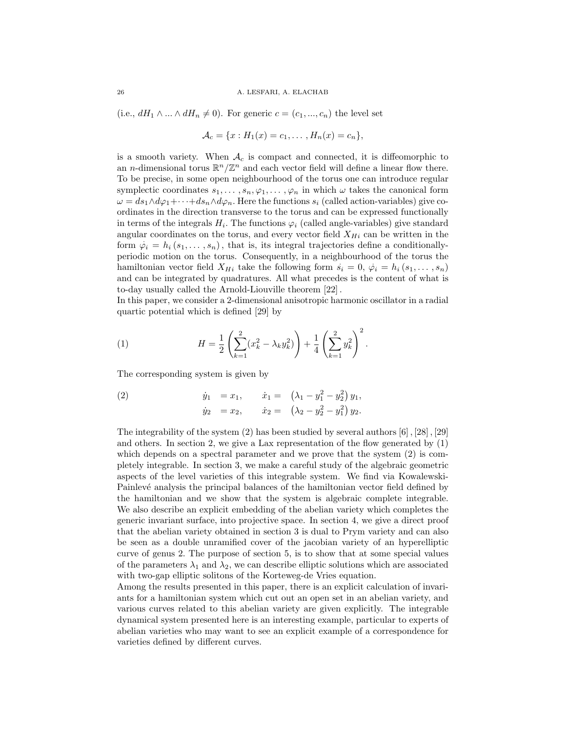#### 26 A. LESFARI, A. ELACHAB

(i.e.,  $dH_1 \wedge ... \wedge dH_n \neq 0$ ). For generic  $c = (c_1, ..., c_n)$  the level set

$$
\mathcal{A}_c = \{x : H_1(x) = c_1, \dots, H_n(x) = c_n\},\
$$

is a smooth variety. When  $A_c$  is compact and connected, it is diffeomorphic to an *n*-dimensional torus  $\mathbb{R}^n/\mathbb{Z}^n$  and each vector field will define a linear flow there. To be precise, in some open neighbourhood of the torus one can introduce regular symplectic coordinates  $s_1, \ldots, s_n, \varphi_1, \ldots, \varphi_n$  in which  $\omega$  takes the canonical form  $\omega = ds_1 \wedge d\varphi_1 + \cdots + ds_n \wedge d\varphi_n$ . Here the functions  $s_i$  (called action-variables) give coordinates in the direction transverse to the torus and can be expressed functionally in terms of the integrals  $H_i$ . The functions  $\varphi_i$  (called angle-variables) give standard angular coordinates on the torus, and every vector field  $X_{Hi}$  can be written in the form  $\varphi_i = h_i(s_1, \ldots, s_n)$ , that is, its integral trajectories define a conditionallyperiodic motion on the torus. Consequently, in a neighbourhood of the torus the . hamiltonian vector field  $X_{Hi}$  take the following form  $s_i = 0, \varphi_i = h_i(s_1, \ldots, s_n)$ and can be integrated by quadratures. All what precedes is the content of what is to-day usually called the Arnold-Liouville theorem [22] .

In this paper, we consider a 2-dimensional anisotropic harmonic oscillator in a radial quartic potential which is defined [29] by

(1) 
$$
H = \frac{1}{2} \left( \sum_{k=1}^{2} (x_k^2 - \lambda_k y_k^2) \right) + \frac{1}{4} \left( \sum_{k=1}^{2} y_k^2 \right)^2.
$$

The corresponding system is given by

(2) 
$$
\dot{y}_1 = x_1, \quad \dot{x}_1 = (\lambda_1 - y_1^2 - y_2^2) y_1,
$$
  
\n $\dot{y}_2 = x_2, \quad \dot{x}_2 = (\lambda_2 - y_2^2 - y_1^2) y_2.$ 

The integrability of the system  $(2)$  has been studied by several authors  $[6]$ ,  $[28]$ ,  $[29]$ and others. In section 2, we give a Lax representation of the flow generated by  $(1)$ which depends on a spectral parameter and we prove that the system (2) is completely integrable. In section 3, we make a careful study of the algebraic geometric aspects of the level varieties of this integrable system. We find via Kowalewski-Painlevé analysis the principal balances of the hamiltonian vector field defined by the hamiltonian and we show that the system is algebraic complete integrable. We also describe an explicit embedding of the abelian variety which completes the generic invariant surface, into projective space. In section 4, we give a direct proof that the abelian variety obtained in section 3 is dual to Prym variety and can also be seen as a double unramified cover of the jacobian variety of an hyperelliptic curve of genus 2. The purpose of section 5, is to show that at some special values of the parameters  $\lambda_1$  and  $\lambda_2$ , we can describe elliptic solutions which are associated with two-gap elliptic solitons of the Korteweg-de Vries equation.

Among the results presented in this paper, there is an explicit calculation of invariants for a hamiltonian system which cut out an open set in an abelian variety, and various curves related to this abelian variety are given explicitly. The integrable dynamical system presented here is an interesting example, particular to experts of abelian varieties who may want to see an explicit example of a correspondence for varieties defined by different curves.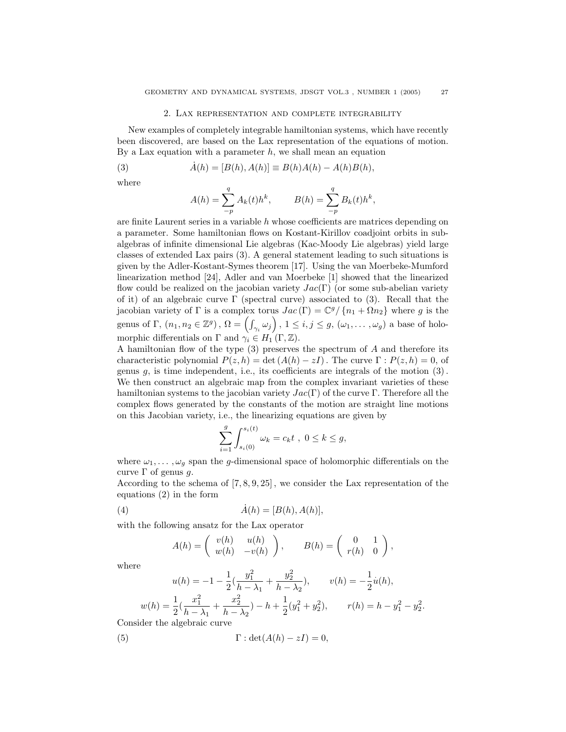### 2. Lax representation and complete integrability

New examples of completely integrable hamiltonian systems, which have recently been discovered, are based on the Lax representation of the equations of motion. By a Lax equation with a parameter  $h$ , we shall mean an equation

(3) 
$$
\dot{A}(h) = [B(h), A(h)] \equiv B(h)A(h) - A(h)B(h),
$$

where

$$
A(h) = \sum_{-p}^{q} A_k(t)h^k, \qquad B(h) = \sum_{-p}^{q} B_k(t)h^k,
$$

are finite Laurent series in a variable  $h$  whose coefficients are matrices depending on a parameter. Some hamiltonian flows on Kostant-Kirillov coadjoint orbits in subalgebras of infinite dimensional Lie algebras (Kac-Moody Lie algebras) yield large classes of extended Lax pairs (3). A general statement leading to such situations is given by the Adler-Kostant-Symes theorem [17]. Using the van Moerbeke-Mumford linearization method [24], Adler and van Moerbeke [1] showed that the linearized flow could be realized on the jacobian variety  $Jac(\Gamma)$  (or some sub-abelian variety of it) of an algebraic curve  $\Gamma$  (spectral curve) associated to (3). Recall that the jacobian variety of  $\Gamma$  is a complex torus  $Jac(\Gamma) = \mathbb{C}^g/\{n_1 + \Omega n_2\}$  where g is the gacobian variety of 1 is a complex torus  $Jac(1) = \mathbb{C}^g / \{n_1 + \Omega n_2\}$  where g is the<br>genus of  $\Gamma$ ,  $(n_1, n_2 \in \mathbb{Z}^g)$ ,  $\Omega = \left(\int_{\gamma_i} \omega_j\right)$ ,  $1 \leq i, j \leq g$ ,  $(\omega_1, \dots, \omega_g)$  a base of holomorphic differentials on  $\Gamma$  and  $\gamma_i \in H_1(\Gamma, \mathbb{Z})$ .

A hamiltonian flow of the type (3) preserves the spectrum of A and therefore its characteristic polynomial  $P(z, h) = \det (A(h) - zI)$ . The curve  $\Gamma : P(z, h) = 0$ , of genus  $g$ , is time independent, i.e., its coefficients are integrals of the motion  $(3)$ . We then construct an algebraic map from the complex invariant varieties of these hamiltonian systems to the jacobian variety  $Jac(\Gamma)$  of the curve Γ. Therefore all the complex flows generated by the constants of the motion are straight line motions on this Jacobian variety, i.e., the linearizing equations are given by

$$
\sum_{i=1}^g \int_{s_i(0)}^{s_i(t)} \omega_k = c_k t \ , \ 0 \leq k \leq g,
$$

where  $\omega_1, \ldots, \omega_g$  span the g-dimensional space of holomorphic differentials on the curve  $\Gamma$  of genus g.

According to the schema of [7, 8, 9, 25] , we consider the Lax representation of the equations (2) in the form

$$
(4) \qquad \qquad \dot{A}(h) = [B(h), A(h)],
$$

with the following ansatz for the Lax operator

$$
A(h) = \begin{pmatrix} v(h) & u(h) \\ w(h) & -v(h) \end{pmatrix}, \qquad B(h) = \begin{pmatrix} 0 & 1 \\ r(h) & 0 \end{pmatrix},
$$

where

$$
u(h) = -1 - \frac{1}{2} \left( \frac{y_1^2}{h - \lambda_1} + \frac{y_2^2}{h - \lambda_2} \right), \qquad v(h) = -\frac{1}{2} \dot{u}(h),
$$
  

$$
w(h) = \frac{1}{2} \left( \frac{x_1^2}{h - \lambda_1} + \frac{x_2^2}{h - \lambda_2} \right) - h + \frac{1}{2} \left( y_1^2 + y_2^2 \right), \qquad r(h) = h - y_1^2 - y_2^2
$$

Consider the algebraic curve

(5) 
$$
\Gamma : \det(A(h) - zI) = 0,
$$

.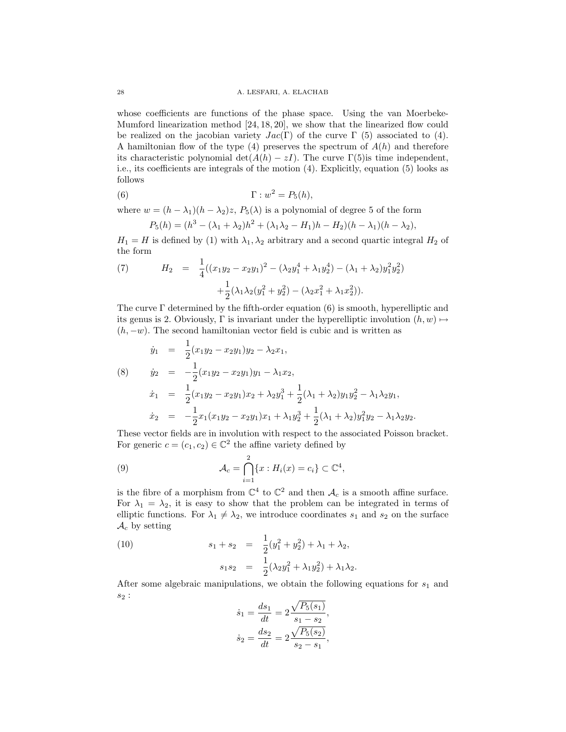whose coefficients are functions of the phase space. Using the van Moerbeke-Mumford linearization method [24, 18, 20], we show that the linearized flow could be realized on the jacobian variety  $Jac(\Gamma)$  of the curve  $\Gamma$  (5) associated to (4). A hamiltonian flow of the type  $(4)$  preserves the spectrum of  $A(h)$  and therefore its characteristic polynomial det $(A(h) - zI)$ . The curve Γ(5)is time independent, i.e., its coefficients are integrals of the motion (4). Explicitly, equation (5) looks as follows

(6) 
$$
\Gamma : w^2 = P_5(h),
$$

where  $w = (h - \lambda_1)(h - \lambda_2)z$ ,  $P_5(\lambda)$  is a polynomial of degree 5 of the form

$$
P_5(h) = (h^3 - (\lambda_1 + \lambda_2)h^2 + (\lambda_1\lambda_2 - H_1)h - H_2)(h - \lambda_1)(h - \lambda_2),
$$

 $H_1 = H$  is defined by (1) with  $\lambda_1, \lambda_2$  arbitrary and a second quartic integral  $H_2$  of the form

(7) 
$$
H_2 = \frac{1}{4}((x_1y_2 - x_2y_1)^2 - (\lambda_2y_1^4 + \lambda_1y_2^4) - (\lambda_1 + \lambda_2)y_1^2y_2^2) + \frac{1}{2}(\lambda_1\lambda_2(y_1^2 + y_2^2) - (\lambda_2x_1^2 + \lambda_1x_2^2)).
$$

The curve  $\Gamma$  determined by the fifth-order equation (6) is smooth, hyperelliptic and its genus is 2. Obviously,  $\Gamma$  is invariant under the hyperelliptic involution  $(h, w) \mapsto$  $(h, -w)$ . The second hamiltonian vector field is cubic and is written as

$$
\dot{y}_1 = \frac{1}{2}(x_1y_2 - x_2y_1)y_2 - \lambda_2x_1,
$$
\n
$$
\dot{y}_2 = -\frac{1}{2}(x_1y_2 - x_2y_1)y_1 - \lambda_1x_2,
$$
\n
$$
\dot{x}_1 = \frac{1}{2}(x_1y_2 - x_2y_1)x_2 + \lambda_2y_1^3 + \frac{1}{2}(\lambda_1 + \lambda_2)y_1y_2^2 - \lambda_1\lambda_2y_1,
$$
\n
$$
\dot{x}_2 = -\frac{1}{2}x_1(x_1y_2 - x_2y_1)x_1 + \lambda_1y_2^3 + \frac{1}{2}(\lambda_1 + \lambda_2)y_1^2y_2 - \lambda_1\lambda_2y_2.
$$

These vector fields are in involution with respect to the associated Poisson bracket. For generic  $c = (c_1, c_2) \in \mathbb{C}^2$  the affine variety defined by

(9) 
$$
\mathcal{A}_c = \bigcap_{i=1}^2 \{x : H_i(x) = c_i\} \subset \mathbb{C}^4,
$$

is the fibre of a morphism from  $\mathbb{C}^4$  to  $\mathbb{C}^2$  and then  $\mathcal{A}_c$  is a smooth affine surface. For  $\lambda_1 = \lambda_2$ , it is easy to show that the problem can be integrated in terms of elliptic functions. For  $\lambda_1 \neq \lambda_2$ , we introduce coordinates  $s_1$  and  $s_2$  on the surface  $\mathcal{A}_c$  by setting

(10) 
$$
s_1 + s_2 = \frac{1}{2}(y_1^2 + y_2^2) + \lambda_1 + \lambda_2,
$$

$$
s_1 s_2 = \frac{1}{2}(\lambda_2 y_1^2 + \lambda_1 y_2^2) + \lambda_1 \lambda_2.
$$

After some algebraic manipulations, we obtain the following equations for  $s_1$  and  $s_2$ : p

$$
\dot{s}_1 = \frac{ds_1}{dt} = 2\frac{\sqrt{P_5(s_1)}}{s_1 - s_2},
$$

$$
\dot{s}_2 = \frac{ds_2}{dt} = 2\frac{\sqrt{P_5(s_2)}}{s_2 - s_1},
$$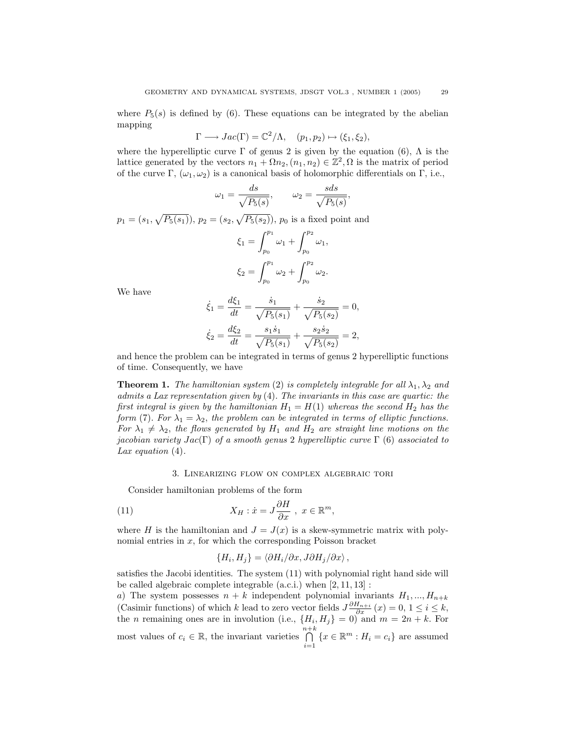where  $P_5(s)$  is defined by (6). These equations can be integrated by the abelian mapping

$$
\Gamma \longrightarrow Jac(\Gamma) = \mathbb{C}^2/\Lambda, \quad (p_1, p_2) \mapsto (\xi_1, \xi_2),
$$

where the hyperelliptic curve  $\Gamma$  of genus 2 is given by the equation (6),  $\Lambda$  is the lattice generated by the vectors  $n_1 + \Omega n_2, (n_1, n_2) \in \mathbb{Z}^2, \Omega$  is the matrix of period of the curve  $\Gamma$ ,  $(\omega_1, \omega_2)$  is a canonical basis of holomorphic differentials on  $\Gamma$ , i.e.,

$$
\omega_1 = \frac{ds}{\sqrt{P_5(s)}}, \qquad \omega_2 = \frac{sds}{\sqrt{P_5(s)}},
$$

 $p_1 = (s_1,$ p  $P_5(s_1)$ ,  $p_2 = (s_2,$ p  $(P_5(s_2))$ ,  $p_0$  is a fixed point and  $\overline{p_1}$  $\mathfrak{c}$   $\mathfrak{p}_2$ 

$$
\xi_1 = \int_{p_0}^{p_1} \omega_1 + \int_{p_0}^{p_2} \omega_1,
$$
  

$$
\xi_2 = \int_{p_0}^{p_1} \omega_2 + \int_{p_0}^{p_2} \omega_2.
$$

We have

$$
\dot{\xi}_1 = \frac{d\xi_1}{dt} = \frac{\dot{s}_1}{\sqrt{P_5(s_1)}} + \frac{\dot{s}_2}{\sqrt{P_5(s_2)}} = 0,
$$
  

$$
\dot{\xi}_2 = \frac{d\xi_2}{dt} = \frac{s_1\dot{s}_1}{\sqrt{P_5(s_1)}} + \frac{s_2\dot{s}_2}{\sqrt{P_5(s_2)}} = 2,
$$

and hence the problem can be integrated in terms of genus 2 hyperelliptic functions of time. Consequently, we have

**Theorem 1.** The hamiltonian system (2) is completely integrable for all  $\lambda_1, \lambda_2$  and admits a Lax representation given by (4). The invariants in this case are quartic: the first integral is given by the hamiltonian  $H_1 = H(1)$  whereas the second  $H_2$  has the form (7). For  $\lambda_1 = \lambda_2$ , the problem can be integrated in terms of elliptic functions. For  $\lambda_1 \neq \lambda_2$ , the flows generated by  $H_1$  and  $H_2$  are straight line motions on the jacobian variety  $Jac(\Gamma)$  of a smooth genus 2 hyperelliptic curve  $\Gamma$  (6) associated to Lax equation  $(4)$ .

### 3. Linearizing flow on complex algebraic tori

Consider hamiltonian problems of the form

(11) 
$$
X_H: \dot{x} = J \frac{\partial H}{\partial x} , x \in \mathbb{R}^m,
$$

where H is the hamiltonian and  $J = J(x)$  is a skew-symmetric matrix with polynomial entries in  $x$ , for which the corresponding Poisson bracket

$$
\{H_i, H_j\} = \langle \partial H_i / \partial x, J \partial H_j / \partial x \rangle \,,
$$

satisfies the Jacobi identities. The system (11) with polynomial right hand side will be called algebraic complete integrable (a.c.i.) when [2, 11, 13] :

a) The system possesses  $n + k$  independent polynomial invariants  $H_1, ..., H_{n+k}$ (Casimir functions) of which k lead to zero vector fields  $J\frac{\partial H_{n+i}}{\partial x}(x) = 0, 1 \le i \le k$ , the *n* remaining ones are in involution (i.e.,  $\{H_i, H_j\} = 0$ ) and  $m = 2n + k$ . For most values of  $c_i \in \mathbb{R}$ , the invariant varieties  $\bigcap^{n+k}$  $i=1$  ${x \in \mathbb{R}^m : H_i = c_i}$  are assumed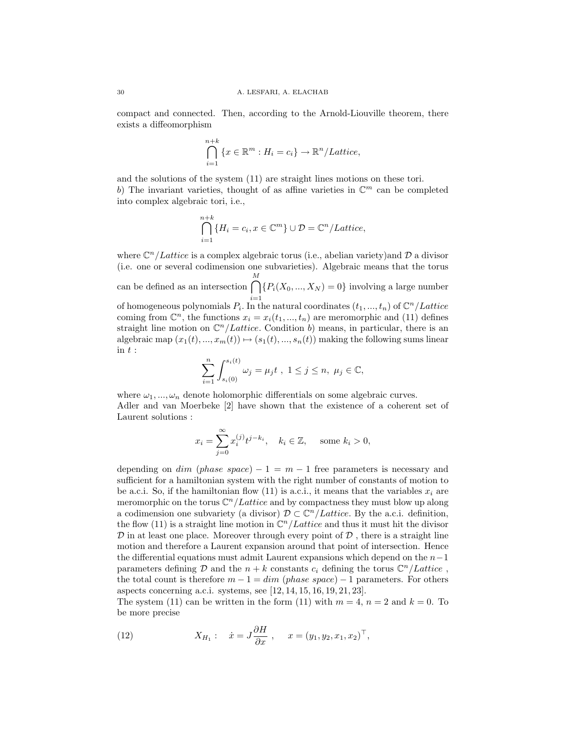compact and connected. Then, according to the Arnold-Liouville theorem, there exists a diffeomorphism

$$
\bigcap_{i=1}^{n+k} \{x \in \mathbb{R}^m : H_i = c_i\} \to \mathbb{R}^n/Lattice,
$$

and the solutions of the system (11) are straight lines motions on these tori. b) The invariant varieties, thought of as affine varieties in  $\mathbb{C}^m$  can be completed into complex algebraic tori, i.e.,

$$
\bigcap_{i=1}^{n+k} \{H_i = c_i, x \in \mathbb{C}^m\} \cup \mathcal{D} = \mathbb{C}^n / Lattice,
$$

where  $\mathbb{C}^n$  *Lattice* is a complex algebraic torus (i.e., abelian variety) and D a divisor (i.e. one or several codimension one subvarieties). Algebraic means that the torus can be defined as an intersection  $\bigcap^M$ of homogeneous polynomials  $P_i$ . In the natural coordinates  $(t_1, ..., t_n)$  of  $\mathbb{C}^n/Lattice$  ${P_i(X_0, ..., X_N) = 0}$  involving a large number coming from  $\mathbb{C}^n$ , the functions  $x_i = x_i(t_1, ..., t_n)$  are meromorphic and (11) defines straight line motion on  $\mathbb{C}^n$ /Lattice. Condition b) means, in particular, there is an algebraic map  $(x_1(t), ..., x_m(t)) \mapsto (s_1(t), ..., s_n(t))$  making the following sums linear  $\text{in } t:$ 

$$
\sum_{i=1}^n \int_{s_i(0)}^{s_i(t)} \omega_j = \mu_j t \ , \ 1 \leq j \leq n, \ \mu_j \in \mathbb{C},
$$

where  $\omega_1, ..., \omega_n$  denote holomorphic differentials on some algebraic curves. Adler and van Moerbeke [2] have shown that the existence of a coherent set of Laurent solutions :

$$
x_i = \sum_{j=0}^{\infty} x_i^{(j)} t^{j-k_i}, \quad k_i \in \mathbb{Z}, \quad \text{some } k_i > 0,
$$

depending on  $dim$  (phase space) – 1 =  $m-1$  free parameters is necessary and sufficient for a hamiltonian system with the right number of constants of motion to be a.c.i. So, if the hamiltonian flow (11) is a.c.i., it means that the variables  $x_i$  are meromorphic on the torus  $\mathbb{C}^n$  / Lattice and by compactness they must blow up along a codimension one subvariety (a divisor)  $\mathcal{D} \subset \mathbb{C}^n/Latlice$ . By the a.c.i. definition, the flow (11) is a straight line motion in  $\mathbb{C}^n/Lattice$  and thus it must hit the divisor  $\mathcal D$  in at least one place. Moreover through every point of  $\mathcal D$ , there is a straight line motion and therefore a Laurent expansion around that point of intersection. Hence the differential equations must admit Laurent expansions which depend on the  $n-1$ parameters defining  $\mathcal D$  and the  $n + k$  constants  $c_i$  defining the torus  $\mathbb C^n/Lattice$ , the total count is therefore  $m - 1 = dim (phase space) - 1$  parameters. For others aspects concerning a.c.i. systems, see [12, 14, 15, 16, 19, 21, 23].

The system (11) can be written in the form (11) with  $m = 4$ ,  $n = 2$  and  $k = 0$ . To be more precise

(12) 
$$
X_{H_1}: \dot{x} = J \frac{\partial H}{\partial x}, \quad x = (y_1, y_2, x_1, x_2)^{\top},
$$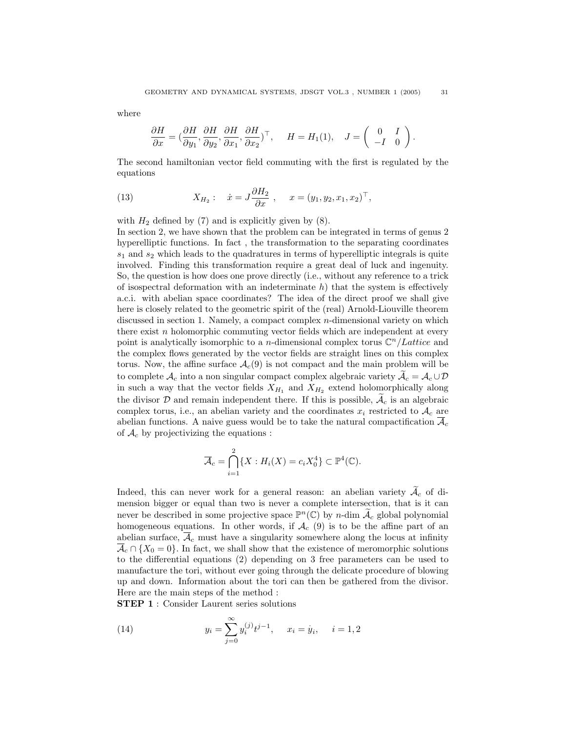where

$$
\frac{\partial H}{\partial x} = \left(\frac{\partial H}{\partial y_1}, \frac{\partial H}{\partial y_2}, \frac{\partial H}{\partial x_1}, \frac{\partial H}{\partial x_2}\right)^\top, \quad H = H_1(1), \quad J = \left(\begin{array}{cc} 0 & I \\ -I & 0 \end{array}\right).
$$

The second hamiltonian vector field commuting with the first is regulated by the equations

(13) 
$$
X_{H_2}: \quad \dot{x} = J \frac{\partial H_2}{\partial x}, \quad x = (y_1, y_2, x_1, x_2)^\top,
$$

with  $H_2$  defined by (7) and is explicitly given by (8).

In section 2, we have shown that the problem can be integrated in terms of genus 2 hyperelliptic functions. In fact , the transformation to the separating coordinates  $s_1$  and  $s_2$  which leads to the quadratures in terms of hyperelliptic integrals is quite involved. Finding this transformation require a great deal of luck and ingenuity. So, the question is how does one prove directly (i.e., without any reference to a trick of isospectral deformation with an indeterminate  $h$ ) that the system is effectively a.c.i. with abelian space coordinates? The idea of the direct proof we shall give here is closely related to the geometric spirit of the (real) Arnold-Liouville theorem discussed in section 1. Namely, a compact complex *n*-dimensional variety on which there exist  $n$  holomorphic commuting vector fields which are independent at every point is analytically isomorphic to a *n*-dimensional complex torus  $\mathbb{C}^n$  *Lattice* and the complex flows generated by the vector fields are straight lines on this complex torus. Now, the affine surface  $\mathcal{A}_c(9)$  is not compact and the main problem will be to complete  $A_c$  into a non singular compact complex algebraic variety  $\widetilde{A}_c = A_c \cup \mathcal{D}$ in such a way that the vector fields  $X_{H_1}$  and  $X_{H_2}$  extend holomorphically along the divisor  $D$  and remain independent there. If this is possible,  $A_c$  is an algebraic complex torus, i.e., an abelian variety and the coordinates  $x_i$  restricted to  $A_c$  are abelian functions. A naive guess would be to take the natural compactification  $\overline{\mathcal{A}}_c$ of  $\mathcal{A}_c$  by projectivizing the equations :

$$
\overline{\mathcal{A}}_c = \bigcap_{i=1}^2 \{ X : H_i(X) = c_i X_0^4 \} \subset \mathbb{P}^4(\mathbb{C}).
$$

Indeed, this can never work for a general reason: an abelian variety  $A_c$  of dimension bigger or equal than two is never a complete intersection, that is it can never be described in some projective space  $\mathbb{P}^n(\mathbb{C})$  by *n*-dim  $\widetilde{\mathcal{A}}_c$  global polynomial homogeneous equations. In other words, if  $\mathcal{A}_{c}$  (9) is to be the affine part of an abelian surface,  $A_c$  must have a singularity somewhere along the locus at infinity  $\overline{\mathcal{A}}_c \cap \{X_0 = 0\}$ . In fact, we shall show that the existence of meromorphic solutions to the differential equations (2) depending on 3 free parameters can be used to manufacture the tori, without ever going through the delicate procedure of blowing up and down. Information about the tori can then be gathered from the divisor. Here are the main steps of the method :

STEP 1 : Consider Laurent series solutions

(14) 
$$
y_i = \sum_{j=0}^{\infty} y_i^{(j)} t^{j-1}, \quad x_i = \dot{y}_i, \quad i = 1, 2
$$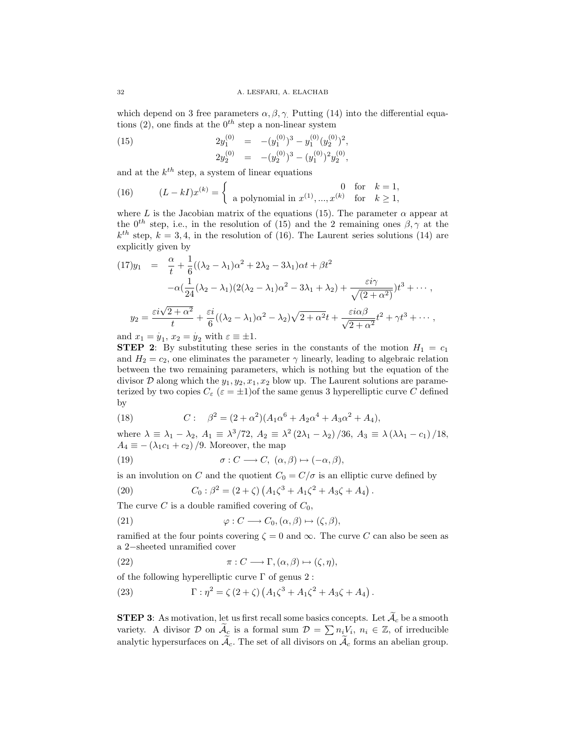which depend on 3 free parameters  $\alpha, \beta, \gamma$ . Putting (14) into the differential equations (2), one finds at the  $0^{th}$  step a non-linear system

(15) 
$$
2y_1^{(0)} = -(y_1^{(0)})^3 - y_1^{(0)}(y_2^{(0)})^2,
$$

$$
2y_2^{(0)} = -(y_2^{(0)})^3 - (y_1^{(0)})^2y_2^{(0)},
$$

and at the  $k^{th}$  step, a system of linear equations

(16) 
$$
(L - kI)x^{(k)} = \begin{cases} 0 & \text{for } k = 1, \\ \text{a polynomial in } x^{(1)}, ..., x^{(k)} & \text{for } k \ge 1, \end{cases}
$$

where L is the Jacobian matrix of the equations (15). The parameter  $\alpha$  appear at the 0<sup>th</sup> step, i.e., in the resolution of (15) and the 2 remaining ones  $\beta$ ,  $\gamma$  at the  $k^{th}$  step,  $k = 3, 4$ , in the resolution of (16). The Laurent series solutions (14) are explicitly given by

$$
(17)y_1 = \frac{\alpha}{t} + \frac{1}{6}((\lambda_2 - \lambda_1)\alpha^2 + 2\lambda_2 - 3\lambda_1)\alpha t + \beta t^2
$$

$$
-\alpha(\frac{1}{24}(\lambda_2 - \lambda_1)(2(\lambda_2 - \lambda_1)\alpha^2 - 3\lambda_1 + \lambda_2) + \frac{\varepsilon i\gamma}{\sqrt{(2 + \alpha^2)}})t^3 + \cdots,
$$

$$
y_2 = \frac{\varepsilon i\sqrt{2 + \alpha^2}}{t} + \frac{\varepsilon i}{6}((\lambda_2 - \lambda_1)\alpha^2 - \lambda_2)\sqrt{2 + \alpha^2}t + \frac{\varepsilon i\alpha\beta}{\sqrt{2 + \alpha^2}}t^2 + \gamma t^3 + \cdots,
$$

and  $x_1 = y_1, x_2 = y_2$  with  $\varepsilon \equiv \pm 1$ .

**STEP 2:** By substituting these series in the constants of the motion  $H_1 = c_1$ and  $H_2 = c_2$ , one eliminates the parameter  $\gamma$  linearly, leading to algebraic relation between the two remaining parameters, which is nothing but the equation of the divisor  $D$  along which the  $y_1, y_2, x_1, x_2$  blow up. The Laurent solutions are parameterized by two copies  $C_{\varepsilon}$  ( $\varepsilon = \pm 1$ ) of the same genus 3 hyperelliptic curve C defined by

(18) 
$$
C: \quad \beta^2 = (2 + \alpha^2)(A_1\alpha^6 + A_2\alpha^4 + A_3\alpha^2 + A_4),
$$

where  $\lambda \equiv \lambda_1 - \lambda_2$ ,  $A_1 \equiv \lambda^3/72$ ,  $A_2 \equiv \lambda^2 (2\lambda_1 - \lambda_2)/36$ ,  $A_3 \equiv \lambda (\lambda \lambda_1 - c_1)/18$ ,  $A_4 \equiv -(\lambda_1 c_1 + c_2)/9$ . Moreover, the map

(19) 
$$
\sigma: C \longrightarrow C, \ (\alpha, \beta) \mapsto (-\alpha, \beta),
$$

is an involution on C and the quotient  $C_0 = C/\sigma$  is an elliptic curve defined by

(20) 
$$
C_0: \beta^2 = (2+\zeta) \left( A_1 \zeta^3 + A_1 \zeta^2 + A_3 \zeta + A_4 \right).
$$

The curve C is a double ramified covering of  $C_0$ ,

(21) 
$$
\varphi: C \longrightarrow C_0, (\alpha, \beta) \mapsto (\zeta, \beta),
$$

ramified at the four points covering  $\zeta = 0$  and  $\infty$ . The curve C can also be seen as a 2−sheeted unramified cover

(22) 
$$
\pi: C \longrightarrow \Gamma, (\alpha, \beta) \mapsto (\zeta, \eta),
$$

of the following hyperelliptic curve  $\Gamma$  of genus 2: ¡

(23) 
$$
\Gamma : \eta^2 = \zeta (2 + \zeta) (A_1 \zeta^3 + A_1 \zeta^2 + A_3 \zeta + A_4).
$$

**STEP 3:** As motivation, let us first recall some basics concepts. Let  $\mathcal{A}_c$  be a smooth variety. A divisor D on  $\tilde{A}_c$  is a formal sum  $\mathcal{D} = \sum n_i V_i$ ,  $n_i \in \mathbb{Z}$ , of irreducible analytic hypersurfaces on  $\mathcal{A}_{c}$ . The set of all divisors on  $\mathcal{A}_{c}$  forms an abelian group.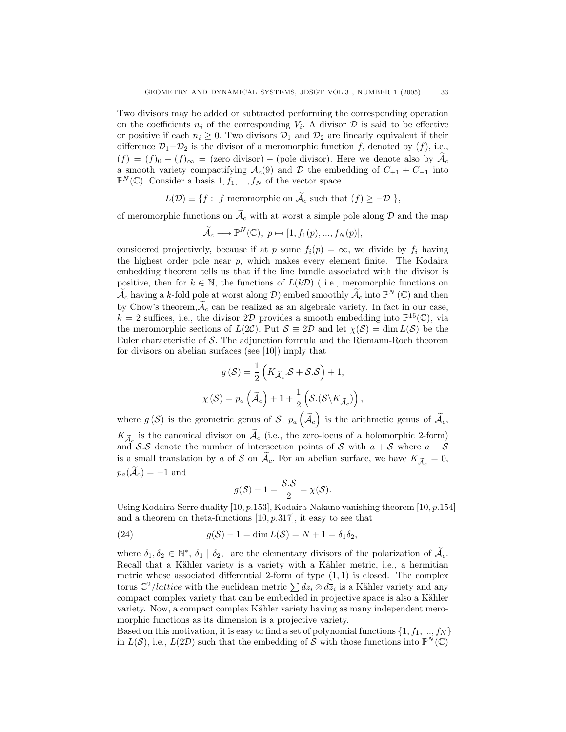Two divisors may be added or subtracted performing the corresponding operation on the coefficients  $n_i$  of the corresponding  $V_i$ . A divisor  $\mathcal D$  is said to be effective or positive if each  $n_i \geq 0$ . Two divisors  $\mathcal{D}_1$  and  $\mathcal{D}_2$  are linearly equivalent if their difference  $\mathcal{D}_1-\mathcal{D}_2$  is the divisor of a meromorphic function f, denoted by (f), i.e.,  $(f) = (f)_0 - (f)_{\infty} = ($ zero divisor) – (pole divisor). Here we denote also by  $\mathcal{A}_c$ a smooth variety compactifying  $\mathcal{A}_c(9)$  and  $\mathcal D$  the embedding of  $C_{+1} + C_{-1}$  into  $\mathbb{P}^N(\mathbb{C})$ . Consider a basis  $1, f_1, ..., f_N$  of the vector space

$$
L(\mathcal{D}) \equiv \{ f : f \text{ meromorphic on } \widetilde{\mathcal{A}}_c \text{ such that } (f) \ge -\mathcal{D} \},
$$

of meromorphic functions on  $\tilde{\mathcal{A}}_c$  with at worst a simple pole along  $\mathcal D$  and the map

$$
\widetilde{\mathcal{A}}_{c}\longrightarrow\mathbb{P}^{N}(\mathbb{C}),\ p\mapsto[1,f_{1}(p),...,f_{N}(p)],
$$

considered projectively, because if at p some  $f_i(p) = \infty$ , we divide by  $f_i$  having the highest order pole near  $p$ , which makes every element finite. The Kodaira embedding theorem tells us that if the line bundle associated with the divisor is positive, then for  $k \in \mathbb{N}$ , the functions of  $L(k\mathcal{D})$  (i.e., meromorphic functions on  $\widetilde{\mathcal{A}}_c$  having a k-fold pole at worst along  $\mathcal{D}$ ) embed smoothly  $\widetilde{\mathcal{A}}_c$  into  $\mathbb{P}^N$  (C) and then by Chow's theorem,  $\widetilde{\mathcal{A}}_c$  can be realized as an algebraic variety. In fact in our case,  $k = 2$  suffices, i.e., the divisor 2D provides a smooth embedding into  $\mathbb{P}^{15}(\mathbb{C})$ , via the meromorphic sections of  $L(2\mathcal{C})$ . Put  $\mathcal{S} \equiv 2\mathcal{D}$  and let  $\chi(\mathcal{S}) = \dim L(\mathcal{S})$  be the Euler characteristic of  $S$ . The adjunction formula and the Riemann-Roch theorem for divisors on abelian surfaces (see [10]) imply that

$$
g(S) = \frac{1}{2} \left( K_{\widetilde{\mathcal{A}}_c} . \mathcal{S} + \mathcal{S} . \mathcal{S} \right) + 1,
$$
  

$$
\chi(S) = p_a \left( \widetilde{\mathcal{A}}_c \right) + 1 + \frac{1}{2} \left( \mathcal{S} . (\mathcal{S} \backslash K_{\widetilde{\mathcal{A}}_c}) \right)
$$

,

where  $g(\mathcal{S})$  is the geometric genus of  $\mathcal{S}, p_a$  $\widetilde{\mathcal{A}}_c$ is the arithmetic genus of  $\widetilde{\mathcal{A}}_c$ ,  $K_{\widetilde{\mathcal{A}}_c}$  is the canonical divisor on  $\widetilde{\mathcal{A}}_c$  (i.e., the zero-locus of a holomorphic 2-form) and S.S denote the number of intersection points of S with  $a + S$  where  $a + S$ is a small translation by a of S on  $\tilde{\mathcal{A}}_c$ . For an abelian surface, we have  $K_{\tilde{\mathcal{A}}_c} = 0$ ,  $p_a(\widetilde{\mathcal{A}}_c) = -1$  and

$$
g(\mathcal{S}) - 1 = \frac{\mathcal{S}.\mathcal{S}}{2} = \chi(\mathcal{S}).
$$

Using Kodaira-Serre duality [10, p.153], Kodaira-Nakano vanishing theorem [10, p.154] and a theorem on theta-functions  $[10, p.317]$ , it easy to see that

(24) 
$$
g(S) - 1 = \dim L(S) = N + 1 = \delta_1 \delta_2,
$$

where  $\delta_1, \delta_2 \in \mathbb{N}^*, \delta_1 \mid \delta_2$ , are the elementary divisors of the polarization of  $\widetilde{\mathcal{A}}_c$ . Recall that a Kähler variety is a variety with a Kähler metric, i.e., a hermitian metric whose associated differential 2-form of type  $(1,1)$  is closed. The complex metric whose associated differential 2-form of type  $(1, 1)$  is closed. The complex<br>torus  $\mathbb{C}^2/lattice$  with the euclidean metric  $\sum dz_i \otimes d\overline{z}_i$  is a Kähler variety and any compact complex variety that can be embedded in projective space is also a Kähler variety. Now, a compact complex Kähler variety having as many independent meromorphic functions as its dimension is a projective variety.

Based on this motivation, it is easy to find a set of polynomial functions  $\{1, f_1, ..., f_N\}$ in  $L(S)$ , i.e.,  $L(2D)$  such that the embedding of S with those functions into  $\mathbb{P}^N(\mathbb{C})$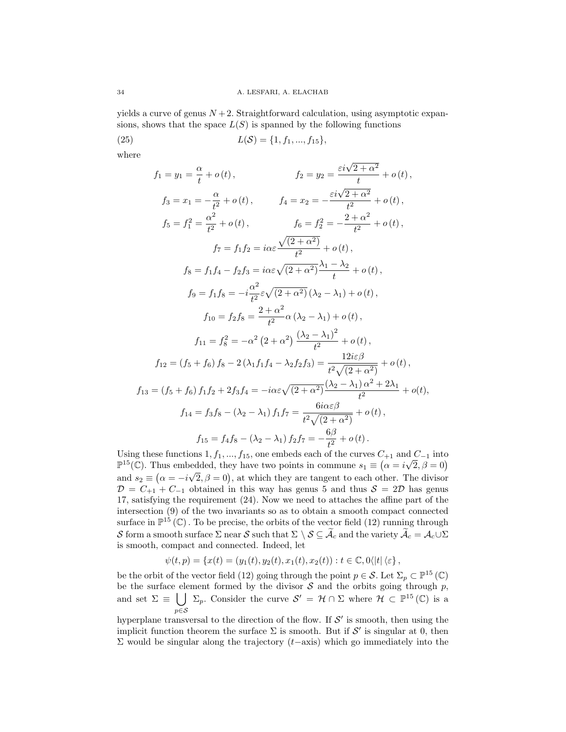yields a curve of genus  $N+2$ . Straightforward calculation, using asymptotic expansions, shows that the space  $L(S)$  is spanned by the following functions

(25) 
$$
L(S) = \{1, f_1, ..., f_{15}\},\
$$

where

$$
f_1 = y_1 = \frac{\alpha}{t} + o(t), \qquad f_2 = y_2 = \frac{\varepsilon i \sqrt{2 + \alpha^2}}{t} + o(t),
$$
  
\n
$$
f_3 = x_1 = -\frac{\alpha}{t^2} + o(t), \qquad f_4 = x_2 = -\frac{\varepsilon i \sqrt{2 + \alpha^2}}{t^2} + o(t),
$$
  
\n
$$
f_5 = f_1^2 = \frac{\alpha^2}{t^2} + o(t), \qquad f_6 = f_2^2 = -\frac{2 + \alpha^2}{t^2} + o(t),
$$
  
\n
$$
f_7 = f_1 f_2 = i\alpha \varepsilon \frac{\sqrt{(2 + \alpha^2)}}{t^2} + o(t),
$$
  
\n
$$
f_8 = f_1 f_4 - f_2 f_3 = i\alpha \varepsilon \sqrt{(2 + \alpha^2)} \frac{\lambda_1 - \lambda_2}{t} + o(t),
$$
  
\n
$$
f_9 = f_1 f_8 = -i\frac{\alpha^2}{t^2} \varepsilon \sqrt{(2 + \alpha^2)} (\lambda_2 - \lambda_1) + o(t),
$$
  
\n
$$
f_{10} = f_2 f_8 = \frac{2 + \alpha^2}{t^2} \alpha (\lambda_2 - \lambda_1) + o(t),
$$
  
\n
$$
f_{11} = f_8^2 = -\alpha^2 (2 + \alpha^2) \frac{(\lambda_2 - \lambda_1)^2}{t^2} + o(t),
$$
  
\n
$$
f_{12} = (f_5 + f_6) f_8 - 2(\lambda_1 f_1 f_4 - \lambda_2 f_2 f_3) = \frac{12i\varepsilon \beta}{t^2 \sqrt{(2 + \alpha^2)}} + o(t),
$$
  
\n
$$
f_{13} = (f_5 + f_6) f_1 f_2 + 2f_3 f_4 = -i\alpha \varepsilon \sqrt{(2 + \alpha^2)} \frac{(\lambda_2 - \lambda_1)^2}{t^2} + o(t),
$$
  
\n
$$
f_{14} = f_3 f_8 - (\lambda_2 - \lambda_1) f_1 f_7 = \frac{6i\alpha \varepsilon \beta}{t^2 \sqrt{(2 + \alpha^2)}} + o(t),
$$
  
\n
$$
f_{15} = f_4 f_8 - (\lambda
$$

Using these functions  $1, f_1, ..., f_{15}$ , one embeds each of the curves  $C_{+1}$  and  $C_{-1}$  into Using these functions 1,  $J_1, ..., J_{15}$ , one embeds each of the curves  $C_{+1}$  and  $C_{-1}$  into  $\mathbb{P}^{15}(\mathbb{C})$ . Thus embedded, they have two points in commune  $s_1 \equiv (\alpha = i\sqrt{2}, \beta = 0)$ and  $s_2 \equiv (\alpha = -i\sqrt{2}, \beta = 0)$ , at which they are tangent to each other. The divisor  $\mathcal{D} = C_{+1} + C_{-1}$  obtained in this way has genus 5 and thus  $\mathcal{S} = 2\mathcal{D}$  has genus 17, satisfying the requirement (24). Now we need to attaches the affine part of the intersection (9) of the two invariants so as to obtain a smooth compact connected surface in  $\mathbb{P}^{15}(\mathbb{C})$ . To be precise, the orbits of the vector field (12) running through S form a smooth surface  $\Sigma$  near S such that  $\Sigma \setminus \mathcal{S} \subseteq \widetilde{\mathcal{A}}_c$  and the variety  $\widetilde{\mathcal{A}}_c = \mathcal{A}_c \cup \Sigma$ is smooth, compact and connected. Indeed, let

$$
\psi(t,p) = \{x(t) = (y_1(t), y_2(t), x_1(t), x_2(t)) : t \in \mathbb{C}, 0 \langle |t| \langle \varepsilon \rangle,
$$

be the orbit of the vector field (12) going through the point  $p \in \mathcal{S}$ . Let  $\Sigma_p \subset \mathbb{P}^{15}(\mathbb{C})$ be the surface element formed by the divisor  $S$  and the orbits going through  $p$ , and set  $\Sigma \equiv \bigcup \Sigma_p$ . Consider the curve  $\mathcal{S}' = \mathcal{H} \cap \Sigma$  where  $\mathcal{H} \subset \mathbb{P}^{15}(\mathbb{C})$  is a  $p{\in}\mathcal{S}$ 

hyperplane transversal to the direction of the flow. If  $\mathcal{S}'$  is smooth, then using the implicit function theorem the surface  $\Sigma$  is smooth. But if S' is singular at 0, then Σ would be singular along the trajectory  $(t−$ axis) which go immediately into the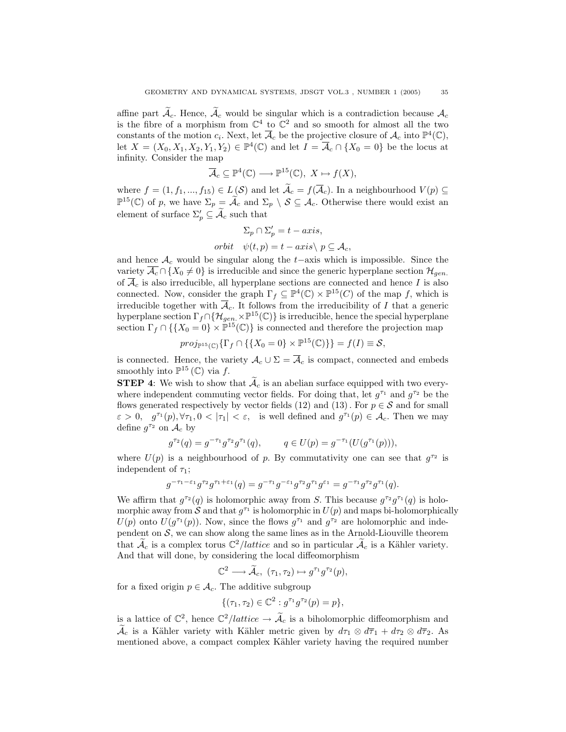affine part  $\mathcal{A}_c$ . Hence,  $\mathcal{A}_c$  would be singular which is a contradiction because  $\mathcal{A}_c$ is the fibre of a morphism from  $\mathbb{C}^4$  to  $\mathbb{C}^2$  and so smooth for almost all the two constants of the motion  $c_i$ . Next, let  $\overline{\mathcal{A}}_c$  be the projective closure of  $\mathcal{A}_c$  into  $\mathbb{P}^4(\mathbb{C})$ , let  $X = (X_0, X_1, X_2, Y_1, Y_2) \in \mathbb{P}^4(\mathbb{C})$  and let  $I = \overline{\mathcal{A}}_c \cap \{X_0 = 0\}$  be the locus at infinity. Consider the map

$$
\overline{\mathcal{A}}_c \subseteq \mathbb{P}^4(\mathbb{C}) \longrightarrow \mathbb{P}^{15}(\mathbb{C}), \ X \mapsto f(X),
$$

where  $f = (1, f_1, ..., f_{15}) \in L(\mathcal{S})$  and let  $\widetilde{\mathcal{A}}_c = f(\overline{\mathcal{A}}_c)$ . In a neighbourhood  $V(p) \subseteq$  $\mathbb{P}^{15}(\mathbb{C})$  of p, we have  $\Sigma_p = \widetilde{\mathcal{A}}_c$  and  $\Sigma_p \setminus \mathcal{S} \subseteq \mathcal{A}_c$ . Otherwise there would exist an element of surface  $\Sigma'_p \subseteq \widetilde{\mathcal{A}}_c$  such that

$$
\Sigma_p \cap \Sigma'_p = t - axis,
$$
  
orbit  $\psi(t, p) = t - axis \setminus p \subseteq \mathcal{A}_c$ ,

and hence  $A_c$  would be singular along the t−axis which is impossible. Since the variety  $\overline{\mathcal{A}_c} \cap \{X_0 \neq 0\}$  is irreducible and since the generic hyperplane section  $\mathcal{H}_{gen}$ . of  $\overline{\mathcal{A}}_c$  is also irreducible, all hyperplane sections are connected and hence I is also connected. Now, consider the graph  $\Gamma_f \subseteq \mathbb{P}^4(\mathbb{C}) \times \mathbb{P}^{15}(C)$  of the map f, which is irreducible together with  $\overline{A}_c$ . It follows from the irreducibility of I that a generic hyperplane section  $\Gamma_f \cap {\{\mathcal{H}_{gen} \times \mathbb{P}^{15}(\mathbb{C})\}}$  is irreducible, hence the special hyperplane section  $\Gamma_f \cap \{\{X_0 = 0\} \times \mathbb{P}^{15}(\mathbb{C})\}$  is connected and therefore the projection map

$$
proj_{\mathbb{P}^{15}(\mathbb{C})}\{\Gamma_f \cap \{\{X_0 = 0\} \times \mathbb{P}^{15}(\mathbb{C})\}\} = f(I) \equiv \mathcal{S},
$$

is connected. Hence, the variety  $\mathcal{A}_c \cup \Sigma = \overline{\mathcal{A}}_c$  is compact, connected and embeds smoothly into  $\mathbb{P}^{15}(\mathbb{C})$  via f.

**STEP 4:** We wish to show that  $\tilde{A}_c$  is an abelian surface equipped with two everywhere independent commuting vector fields. For doing that, let  $g^{\tau_1}$  and  $g^{\tau_2}$  be the flows generated respectively by vector fields (12) and (13). For  $p \in S$  and for small  $\varepsilon > 0$ ,  $g^{\tau_1}(p), \forall \tau_1, 0 < |\tau_1| < \varepsilon$ , is well defined and  $g^{\tau_1}(p) \in \mathcal{A}_c$ . Then we may define  $g^{\tau_2}$  on  $\mathcal{A}_c$  by

$$
g^{\tau_2}(q) = g^{-\tau_1} g^{\tau_2} g^{\tau_1}(q), \qquad q \in U(p) = g^{-\tau_1}(U(g^{\tau_1}(p))),
$$

where  $U(p)$  is a neighbourhood of p. By commutativity one can see that  $g^{\tau_2}$  is independent of  $\tau_1$ ;

$$
g^{-\tau_1-\varepsilon_1}g^{\tau_2}g^{\tau_1+\varepsilon_1}(q) = g^{-\tau_1}g^{-\varepsilon_1}g^{\tau_2}g^{\tau_1}g^{\varepsilon_1} = g^{-\tau_1}g^{\tau_2}g^{\tau_1}(q).
$$

We affirm that  $g^{\tau_2}(q)$  is holomorphic away from S. This because  $g^{\tau_2}g^{\tau_1}(q)$  is holomorphic away from S and that  $g^{\tau_1}$  is holomorphic in  $U(p)$  and maps bi-holomorphically  $U(p)$  onto  $U(g^{r_1}(p))$ . Now, since the flows  $g^{r_1}$  and  $g^{r_2}$  are holomorphic and independent on  $S$ , we can show along the same lines as in the Arnold-Liouville theorem that  $\mathcal{A}_c$  is a complex torus  $\mathbb{C}^2/lattice$  and so in particular  $\mathcal{A}_c$  is a Kähler variety. And that will done, by considering the local diffeomorphism

$$
\mathbb{C}^2 \longrightarrow \widetilde{\mathcal{A}}_c, \; (\tau_1, \tau_2) \mapsto g^{\tau_1} g^{\tau_2}(p),
$$

for a fixed origin  $p \in \mathcal{A}_c$ . The additive subgroup

$$
\{(\tau_1, \tau_2) \in \mathbb{C}^2 : g^{\tau_1} g^{\tau_2}(p) = p\},\
$$

is a lattice of  $\mathbb{C}^2$ , hence  $\mathbb{C}^2$ /*lattice*  $\rightarrow \widetilde{\mathcal{A}}_c$  is a biholomorphic diffeomorphism and  $\tilde{\mathcal{A}}_c$  is a Kähler variety with Kähler metric given by  $d\tau_1 \otimes d\overline{\tau}_1 + d\tau_2 \otimes d\overline{\tau}_2$ . As mentioned above, a compact complex Kähler variety having the required number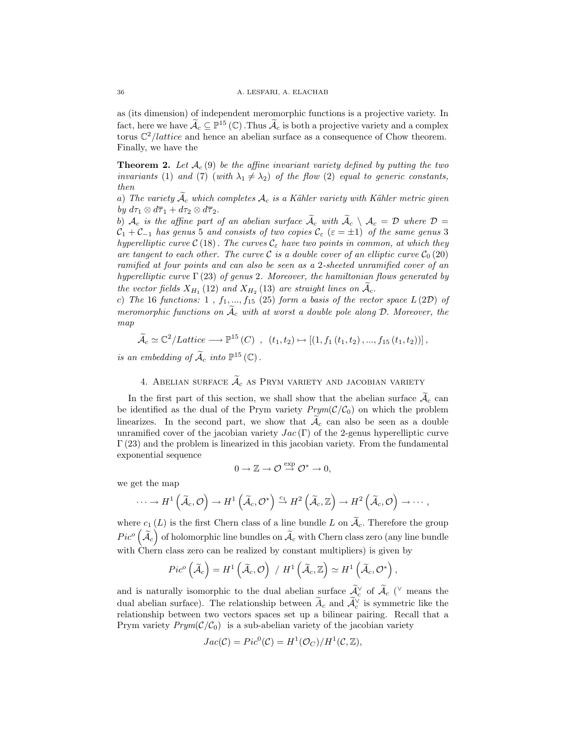as (its dimension) of independent meromorphic functions is a projective variety. In fact, here we have  $\mathcal{A}_c \subseteq \mathbb{P}^{15}(\mathbb{C})$ . Thus  $\mathcal{A}_c$  is both a projective variety and a complex torus  $\mathbb{C}^2/lattice$  and hence an abelian surface as a consequence of Chow theorem. Finally, we have the

**Theorem 2.** Let  $\mathcal{A}_c(9)$  be the affine invariant variety defined by putting the two invariants (1) and (7) (with  $\lambda_1 \neq \lambda_2$ ) of the flow (2) equal to generic constants, then

a) The variety  $\widetilde{\mathcal{A}}_c$  which completes  $\mathcal{A}_c$  is a Kähler variety with Kähler metric given by  $d\tau_1 \otimes d\overline{\tau}_1 + d\tau_2 \otimes d\overline{\tau}_2$ .

b)  $\mathcal{A}_c$  is the affine part of an abelian surface  $\widetilde{\mathcal{A}}_c$  with  $\widetilde{\mathcal{A}}_c \setminus \mathcal{A}_c = \mathcal{D}$  where  $\mathcal{D} =$  $C_1 + C_{-1}$  has genus 5 and consists of two copies  $C_{\varepsilon}$  ( $\varepsilon = \pm 1$ ) of the same genus 3 hyperelliptic curve  $\mathcal{C}(18)$ . The curves  $\mathcal{C}_{\varepsilon}$  have two points in common, at which they are tangent to each other. The curve  $\mathcal C$  is a double cover of an elliptic curve  $\mathcal C_0$  (20) ramified at four points and can also be seen as a 2-sheeted unramified cover of an hyperelliptic curve  $\Gamma(23)$  of genus 2. Moreover, the hamiltonian flows generated by the vector fields  $X_{H_1}$  (12) and  $X_{H_2}$  (13) are straight lines on  $\widetilde{\mathcal{A}}_c$ .

c) The 16 functions: 1,  $f_1, ..., f_{15}$  (25) form a basis of the vector space  $L(2D)$  of meromorphic functions on  $\tilde{A}_c$  with at worst a double pole along D. Moreover, the map

$$
\widetilde{\mathcal{A}}_{c} \simeq \mathbb{C}^{2}/Lattice \longrightarrow \mathbb{P}^{15}\left(C\right) , (t_{1}, t_{2}) \mapsto [(1, f_{1}\left(t_{1}, t_{2}\right), ..., f_{15}\left(t_{1}, t_{2}\right))],
$$

is an embedding of  $\widetilde{\mathcal{A}}_c$  into  $\mathbb{P}^{15}(\mathbb{C})$ .

## 4. ABELIAN SURFACE  $\widetilde{\mathcal{A}}_c$  as PRYM VARIETY AND JACOBIAN VARIETY

In the first part of this section, we shall show that the abelian surface  $\widetilde{\mathcal{A}}_c$  can be identified as the dual of the Prym variety  $Prym(\mathcal{C}/\mathcal{C}_0)$  on which the problem linearizes. In the second part, we show that  $A_c$  can also be seen as a double unramified cover of the jacobian variety  $Jac(\Gamma)$  of the 2-genus hyperelliptic curve  $\Gamma(23)$  and the problem is linearized in this jacobian variety. From the fundamental exponential sequence

$$
0 \to \mathbb{Z} \to \mathcal{O} \stackrel{\exp}{\to} \mathcal{O}^* \to 0,
$$

we get the map

$$
\cdots \to H^1\left(\widetilde{\mathcal{A}}_c, \mathcal{O}\right) \to H^1\left(\widetilde{\mathcal{A}}_c, \mathcal{O}^*\right) \xrightarrow{c_1} H^2\left(\widetilde{\mathcal{A}}_c, \mathbb{Z}\right) \to H^2\left(\widetilde{\mathcal{A}}_c, \mathcal{O}\right) \to \cdots,
$$

where  $c_1(L)$  is the first Chern class of a line bundle L on  $\widetilde{\mathcal{A}}_c$ . Therefore the group  $Pic^{o}(\widetilde{\mathcal{A}}_{c})$  of holomorphic line bundles on  $\widetilde{\mathcal{A}}_{c}$  with Chern class zero (any line bundle with Chern class zero can be realized by constant multipliers) is given by

$$
Pic^{o}(\widetilde{A}_{c})=H^{1}(\widetilde{A}_{c}, \mathcal{O})/H^{1}(\widetilde{A}_{c}, \mathbb{Z})\simeq H^{1}(\widetilde{A}_{c}, \mathcal{O}^{*}),
$$

and is naturally isomorphic to the dual abelian surface  $\widetilde{\mathcal{A}}_c^{\vee}$  of  $\widetilde{\mathcal{A}}_c$  ( $\vee$  means the dual abelian surface). The relationship between  $\widetilde{A}_c$  and  $\widetilde{A}_c^{\vee}$  is symmetric like the relationship between two vectors spaces set up a bilinear pairing. Recall that a Prym variety  $Prym(\mathcal{C}/\mathcal{C}_0)$  is a sub-abelian variety of the jacobian variety

$$
Jac(\mathcal{C}) = Pic^{0}(\mathcal{C}) = H^{1}(\mathcal{O}_{C})/H^{1}(\mathcal{C}, \mathbb{Z}),
$$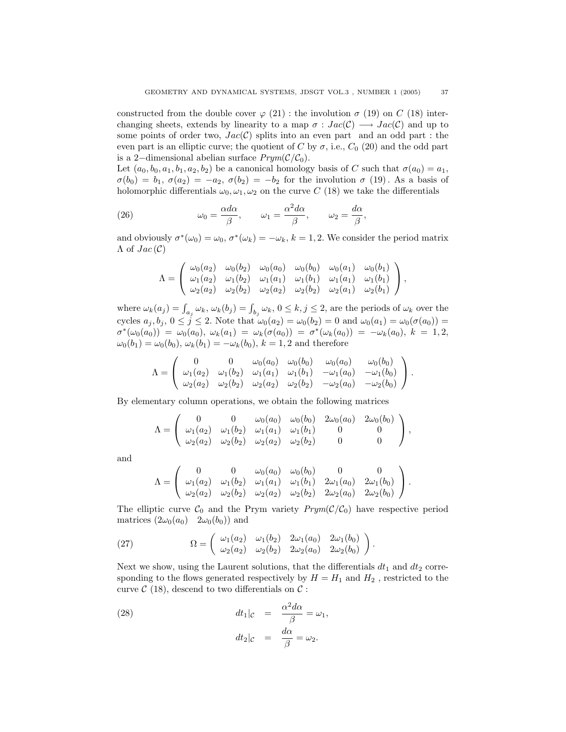constructed from the double cover  $\varphi$  (21): the involution  $\sigma$  (19) on C (18) interchanging sheets, extends by linearity to a map  $\sigma : Jac(C) \longrightarrow Jac(C)$  and up to some points of order two,  $Jac(C)$  splits into an even part and an odd part : the even part is an elliptic curve; the quotient of C by  $\sigma$ , i.e.,  $C_0$  (20) and the odd part is a 2–dimensional abelian surface  $Prym(\mathcal{C}/\mathcal{C}_0)$ .

Let  $(a_0, b_0, a_1, b_1, a_2, b_2)$  be a canonical homology basis of C such that  $\sigma(a_0) = a_1$ ,  $\sigma(b_0) = b_1, \sigma(a_2) = -a_2, \sigma(b_2) = -b_2$  for the involution  $\sigma(19)$ . As a basis of holomorphic differentials  $\omega_0, \omega_1, \omega_2$  on the curve C (18) we take the differentials

(26) 
$$
\omega_0 = \frac{\alpha d\alpha}{\beta}, \qquad \omega_1 = \frac{\alpha^2 d\alpha}{\beta}, \qquad \omega_2 = \frac{d\alpha}{\beta},
$$

and obviously  $\sigma^*(\omega_0) = \omega_0$ ,  $\sigma^*(\omega_k) = -\omega_k$ ,  $k = 1, 2$ . We consider the period matrix  $\Lambda$  of  $Jac(\mathcal{C})$ 

$$
\Lambda = \begin{pmatrix} \omega_0(a_2) & \omega_0(b_2) & \omega_0(a_0) & \omega_0(b_0) & \omega_0(a_1) & \omega_0(b_1) \\ \omega_1(a_2) & \omega_1(b_2) & \omega_1(a_1) & \omega_1(b_1) & \omega_1(a_1) & \omega_1(b_1) \\ \omega_2(a_2) & \omega_2(b_2) & \omega_2(a_2) & \omega_2(b_2) & \omega_2(a_1) & \omega_2(b_1) \end{pmatrix},
$$

where  $\omega_k(a_j) = \int_{a_j} \omega_k, \omega_k(b_j) = \int_{b_j} \omega_k, 0 \leq k, j \leq 2$ , are the periods of  $\omega_k$  over the cycles  $a_j, b_j, 0 \leq j \leq 2$ . Note that  $\omega_0(a_2) = \omega_0(b_2) = 0$  and  $\omega_0(a_1) = \omega_0(\sigma(a_0)) =$  $\sigma^*(\omega_0(a_0))\;=\; \omega_0(a_0),\; \omega_k(a_1)\;=\; \omega_k(\sigma(a_0))\;=\; \sigma^*(\omega_k(a_0))\;=\; -\omega_k(a_0),\; k\;=\;1,2,$  $\omega_0(b_1) = \omega_0(b_0), \omega_k(b_1) = -\omega_k(b_0), k = 1, 2$  and therefore

$$
\Lambda = \begin{pmatrix} 0 & 0 & \omega_0(a_0) & \omega_0(b_0) & \omega_0(a_0) & \omega_0(b_0) \\ \omega_1(a_2) & \omega_1(b_2) & \omega_1(a_1) & \omega_1(b_1) & -\omega_1(a_0) & -\omega_1(b_0) \\ \omega_2(a_2) & \omega_2(b_2) & \omega_2(a_2) & \omega_2(b_2) & -\omega_2(a_0) & -\omega_2(b_0) \end{pmatrix}.
$$

By elementary column operations, we obtain the following matrices

$$
\Lambda = \begin{pmatrix} 0 & 0 & \omega_0(a_0) & \omega_0(b_0) & 2\omega_0(a_0) & 2\omega_0(b_0) \\ \omega_1(a_2) & \omega_1(b_2) & \omega_1(a_1) & \omega_1(b_1) & 0 & 0 \\ \omega_2(a_2) & \omega_2(b_2) & \omega_2(a_2) & \omega_2(b_2) & 0 & 0 \end{pmatrix},
$$

and

$$
\Lambda = \begin{pmatrix} 0 & 0 & \omega_0(a_0) & \omega_0(b_0) & 0 & 0 \\ \omega_1(a_2) & \omega_1(b_2) & \omega_1(a_1) & \omega_1(b_1) & 2\omega_1(a_0) & 2\omega_1(b_0) \\ \omega_2(a_2) & \omega_2(b_2) & \omega_2(a_2) & \omega_2(b_2) & 2\omega_2(a_0) & 2\omega_2(b_0) \end{pmatrix}.
$$

The elliptic curve  $\mathcal{C}_0$  and the Prym variety  $Prym(\mathcal{C}/\mathcal{C}_0)$  have respective period matrices  $(2\omega_0(a_0)$   $2\omega_0(b_0))$  and

(27) 
$$
\Omega = \begin{pmatrix} \omega_1(a_2) & \omega_1(b_2) & 2\omega_1(a_0) & 2\omega_1(b_0) \\ \omega_2(a_2) & \omega_2(b_2) & 2\omega_2(a_0) & 2\omega_2(b_0) \end{pmatrix}.
$$

Next we show, using the Laurent solutions, that the differentials  $dt_1$  and  $dt_2$  corresponding to the flows generated respectively by  $H = H_1$  and  $H_2$ , restricted to the curve  $\mathcal{C}(18)$ , descend to two differentials on  $\mathcal{C}$ :

(28) 
$$
dt_1|_{\mathcal{C}} = \frac{\alpha^2 d\alpha}{\beta} = \omega_1,
$$

$$
dt_2|_{\mathcal{C}} = \frac{d\alpha}{\beta} = \omega_2.
$$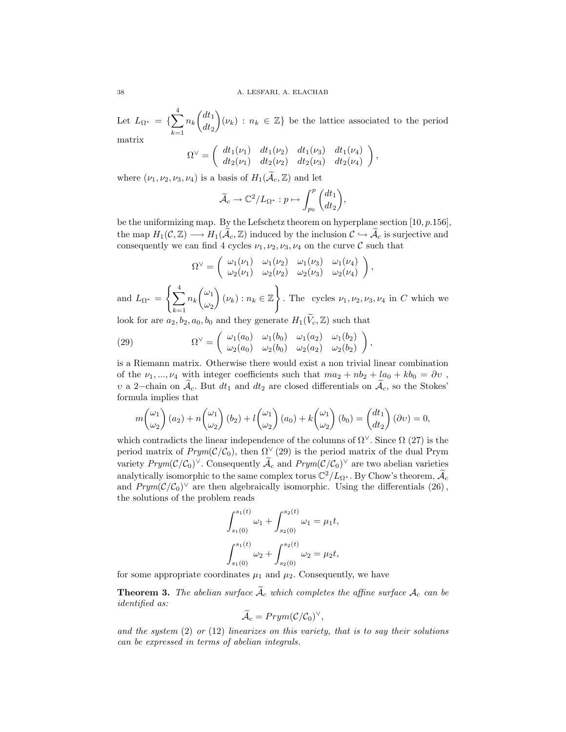Let  $L_{\Omega^*} = \{$  $\frac{4}{\sqrt{2}}$  $k=1$  $n_k$  $\sqrt{dt_1}$  $dt_2$  $\mathbf{r}$  $(\nu_k) : n_k \in \mathbb{Z}$  be the lattice associated to the period matrix  $\overline{a}$  $\mathbf{r}$ 

$$
\Omega^{\vee} = \begin{pmatrix} dt_1(\nu_1) & dt_1(\nu_2) & dt_1(\nu_3) & dt_1(\nu_4) \\ dt_2(\nu_1) & dt_2(\nu_2) & dt_2(\nu_3) & dt_2(\nu_4) \end{pmatrix},
$$

where  $(\nu_1, \nu_2, \nu_3, \nu_4)$  is a basis of  $H_1(\tilde{\mathcal{A}}_c, \mathbb{Z})$  and let

$$
\widetilde{\mathcal{A}}_c \to \mathbb{C}^2/L_{\Omega^*} : p \mapsto \int_{p_0}^p \binom{dt_1}{dt_2},
$$

be the uniformizing map. By the Lefschetz theorem on hyperplane section  $[10, p.156]$ , the map  $H_1(\mathcal{C}, \mathbb{Z}) \longrightarrow H_1(\tilde{\mathcal{A}}_c, \mathbb{Z})$  induced by the inclusion  $\mathcal{C} \hookrightarrow \tilde{\mathcal{A}}_c$  is surjective and consequently we can find 4 cycles  $\nu_1, \nu_2, \nu_3, \nu_4$  on the curve C such that

$$
\Omega^{\vee} = \begin{pmatrix} \omega_1(\nu_1) & \omega_1(\nu_2) & \omega_1(\nu_3) & \omega_1(\nu_4) \\ \omega_2(\nu_1) & \omega_2(\nu_2) & \omega_2(\nu_3) & \omega_2(\nu_4) \end{pmatrix},
$$

and  $L_{\Omega^*} =$  $\left(\frac{4}{\sqrt{2}}\right)$  $k=1$  $n_k$  $\sqrt{\omega_1}$  $\omega_2$  $(\nu_k) : n_k \in \mathbb{Z}$ . The cycles  $\nu_1, \nu_2, \nu_3, \nu_4$  in C which we

look for are  $a_2, b_2, a_0, b_0$  and they generate  $H_1(\widetilde{V}_c, \mathbb{Z})$  such that  $\overline{a}$   $\overline{a}$   $\overline{a}$   $\overline{a}$   $\overline{a}$   $\overline{a}$   $\overline{a}$   $\overline{a}$   $\overline{a}$   $\overline{a}$   $\overline{a}$   $\overline{a}$   $\overline{a}$   $\overline{a}$   $\overline{a}$   $\overline{a}$   $\overline{a}$   $\overline{a}$   $\overline{a}$   $\overline{a}$   $\overline{a}$   $\overline{a}$   $\overline{a}$   $\overline{a}$   $\overline{$ 

(29) 
$$
\Omega^{\vee} = \begin{pmatrix} \omega_1(a_0) & \omega_1(b_0) & \omega_1(a_2) & \omega_1(b_2) \\ \omega_2(a_0) & \omega_2(b_0) & \omega_2(a_2) & \omega_2(b_2) \end{pmatrix},
$$

is a Riemann matrix. Otherwise there would exist a non trivial linear combination of the  $\nu_1, ..., \nu_4$  with integer coefficients such that  $ma_2 + nb_2 + la_0 + kb_0 = \partial v$ , v a 2–chain on  $\mathcal{A}_c$ . But  $dt_1$  and  $dt_2$  are closed differentials on  $\mathcal{A}_c$ , so the Stokes' formula implies that

$$
m\begin{pmatrix} \omega_1 \\ \omega_2 \end{pmatrix} (a_2) + n \begin{pmatrix} \omega_1 \\ \omega_2 \end{pmatrix} (b_2) + l \begin{pmatrix} \omega_1 \\ \omega_2 \end{pmatrix} (a_0) + k \begin{pmatrix} \omega_1 \\ \omega_2 \end{pmatrix} (b_0) = \begin{pmatrix} dt_1 \\ dt_2 \end{pmatrix} (\partial v) = 0,
$$

which contradicts the linear independence of the columns of  $\Omega^{\vee}$ . Since  $\Omega$  (27) is the period matrix of  $Prym(\mathcal{C}/\mathcal{C}_0)$ , then  $\Omega^{\vee}(29)$  is the period matrix of the dual Prym variety  $Prym(C/\mathcal{C}_0)^{\vee}$ . Consequently  $\widetilde{\mathcal{A}}_c$  and  $Prym(C/\mathcal{C}_0)^{\vee}$  are two abelian varieties analytically isomorphic to the same complex torus  $\mathbb{C}^2/L_{\Omega^*}$ . By Chow's theorem,  $\widetilde{\mathcal{A}}_c$ and  $Prym(\mathcal{C}/\mathcal{C}_0)^{\vee}$  are then algebraically isomorphic. Using the differentials (26), the solutions of the problem reads

$$
\int_{s_1(0)}^{s_1(t)} \omega_1 + \int_{s_2(0)}^{s_2(t)} \omega_1 = \mu_1 t,
$$
  

$$
\int_{s_1(0)}^{s_1(t)} \omega_2 + \int_{s_2(0)}^{s_2(t)} \omega_2 = \mu_2 t,
$$

for some appropriate coordinates  $\mu_1$  and  $\mu_2$ . Consequently, we have

**Theorem 3.** The abelian surface  $\tilde{A}_c$  which completes the affine surface  $A_c$  can be identified as:

$$
\widetilde{\mathcal{A}}_c = Prym(\mathcal{C}/\mathcal{C}_0)^{\vee},
$$

and the system  $(2)$  or  $(12)$  linearizes on this variety, that is to say their solutions can be expressed in terms of abelian integrals.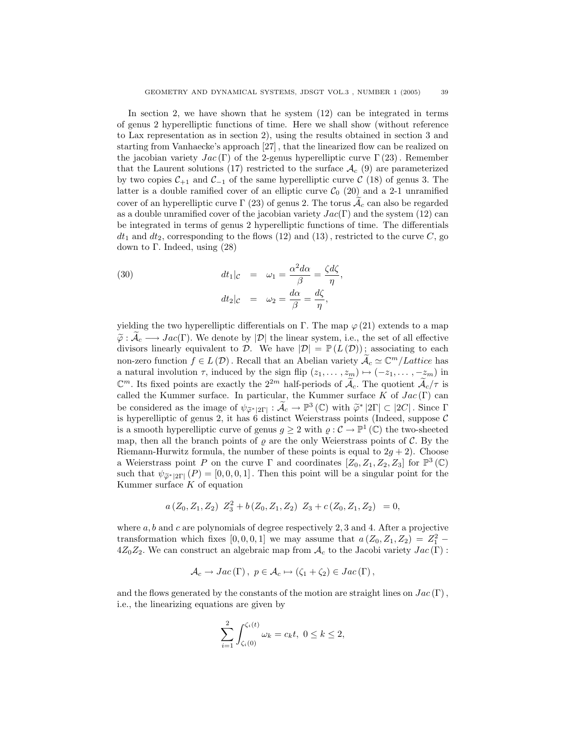In section 2, we have shown that he system (12) can be integrated in terms of genus 2 hyperelliptic functions of time. Here we shall show (without reference to Lax representation as in section 2), using the results obtained in section 3 and starting from Vanhaecke's approach [27] , that the linearized flow can be realized on the jacobian variety  $Jac(\Gamma)$  of the 2-genus hyperelliptic curve  $\Gamma(23)$ . Remember that the Laurent solutions (17) restricted to the surface  $A_c$  (9) are parameterized by two copies  $C_{+1}$  and  $C_{-1}$  of the same hyperelliptic curve C (18) of genus 3. The latter is a double ramified cover of an elliptic curve  $C_0$  (20) and a 2-1 unramified cover of an hyperelliptic curve  $\Gamma$  (23) of genus 2. The torus  $\mathcal{A}_c$  can also be regarded as a double unramified cover of the jacobian variety  $Jac(\Gamma)$  and the system (12) can be integrated in terms of genus 2 hyperelliptic functions of time. The differentials  $dt_1$  and  $dt_2$ , corresponding to the flows (12) and (13), restricted to the curve C, go down to Γ. Indeed, using  $(28)$ 

(30) 
$$
dt_1|_{\mathcal{C}} = \omega_1 = \frac{\alpha^2 d\alpha}{\beta} = \frac{\zeta d\zeta}{\eta},
$$

$$
dt_2|_{\mathcal{C}} = \omega_2 = \frac{d\alpha}{\beta} = \frac{d\zeta}{\eta},
$$

yielding the two hyperelliptic differentials on Γ. The map  $\varphi(21)$  extends to a map  $\tilde{\varphi}: \tilde{\mathcal{A}}_c \longrightarrow Jac(\Gamma)$ . We denote by  $|\mathcal{D}|$  the linear system, i.e., the set of all effective divisors linearly equivalent to D. We have  $|\mathcal{D}| = \mathbb{P}(L(\mathcal{D}))$ ; associating to each non-zero function  $f \in L(\mathcal{D})$ . Recall that an Abelian variety  $\widetilde{A}_c \simeq \mathbb{C}^m/Lattice$  has a natural involution  $\tau$ , induced by the sign flip  $(z_1, \ldots, z_m) \mapsto (-z_1, \ldots, -z_m)$  in  $\mathbb{C}^m$ . Its fixed points are exactly the  $2^{2m}$  half-periods of  $\widetilde{\mathcal{A}}_c$ . The quotient  $\widetilde{\mathcal{A}}_c/\tau$  is called the Kummer surface. In particular, the Kummer surface  $K$  of  $Jac(\Gamma)$  can be considered as the image of  $\psi_{\widetilde{\varphi}^*|2\Gamma|}: \widetilde{\mathcal{A}}_c \to \mathbb{P}^3(\mathbb{C})$  with  $\widetilde{\varphi}^*|2\Gamma| \subset |2C|$ . Since  $\Gamma$ is hyperelliptic of genus 2, it has 6 distinct Weierstrass points (Indeed, suppose  $\mathcal C$ is a smooth hyperelliptic curve of genus  $g \geq 2$  with  $\varrho : C \to \mathbb{P}^1(\mathbb{C})$  the two-sheeted map, then all the branch points of  $\rho$  are the only Weierstrass points of C. By the Riemann-Hurwitz formula, the number of these points is equal to  $2g + 2$ ). Choose a Weierstrass point P on the curve  $\Gamma$  and coordinates  $[Z_0, Z_1, Z_2, Z_3]$  for  $\mathbb{P}^3(\mathbb{C})$ such that  $\psi_{\tilde{\sigma}^*|2\Gamma|}(P) = [0, 0, 0, 1]$ . Then this point will be a singular point for the Kummer surface  $K$  of equation

$$
a(Z_0, Z_1, Z_2) Z_3^2 + b(Z_0, Z_1, Z_2) Z_3 + c(Z_0, Z_1, Z_2) = 0,
$$

where  $a, b$  and  $c$  are polynomials of degree respectively 2, 3 and 4. After a projective transformation which fixes [0, 0, 0, 1] we may assume that  $a(Z_0, Z_1, Z_2) = Z_1^2$  –  $4Z_0Z_2$ . We can construct an algebraic map from  $\mathcal{A}_c$  to the Jacobi variety  $Jac(\Gamma)$ :

$$
\mathcal{A}_c \to Jac(\Gamma), \ p \in \mathcal{A}_c \mapsto (\zeta_1 + \zeta_2) \in Jac(\Gamma),
$$

and the flows generated by the constants of the motion are straight lines on  $Jac(\Gamma)$ , i.e., the linearizing equations are given by

$$
\sum_{i=1}^{2} \int_{\zeta_i(0)}^{\zeta_i(t)} \omega_k = c_k t, \ 0 \le k \le 2,
$$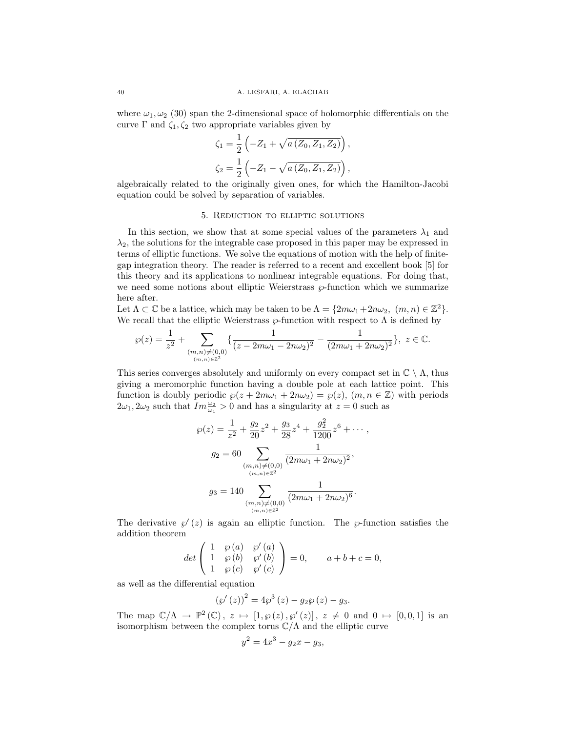where  $\omega_1, \omega_2$  (30) span the 2-dimensional space of holomorphic differentials on the curve  $\Gamma$  and  $\zeta_1, \zeta_2$  two appropriate variables given by

$$
\zeta_1 = \frac{1}{2} \left( -Z_1 + \sqrt{a (Z_0, Z_1, Z_2)} \right),
$$
  

$$
\zeta_2 = \frac{1}{2} \left( -Z_1 - \sqrt{a (Z_0, Z_1, Z_2)} \right),
$$

algebraically related to the originally given ones, for which the Hamilton-Jacobi equation could be solved by separation of variables.

#### 5. Reduction to elliptic solutions

In this section, we show that at some special values of the parameters  $\lambda_1$  and  $\lambda_2$ , the solutions for the integrable case proposed in this paper may be expressed in terms of elliptic functions. We solve the equations of motion with the help of finitegap integration theory. The reader is referred to a recent and excellent book [5] for this theory and its applications to nonlinear integrable equations. For doing that, we need some notions about elliptic Weierstrass  $\wp$ -function which we summarize here after.

Let  $\Lambda \subset \mathbb{C}$  be a lattice, which may be taken to be  $\Lambda = \{2m\omega_1 + 2n\omega_2, (m, n) \in \mathbb{Z}^2\}.$ We recall that the elliptic Weierstrass  $\wp$ -function with respect to  $\Lambda$  is defined by

$$
\wp(z)=\frac{1}{z^2}+\sum_{\substack{(m,n)\neq (0,0)\\(m,n)\in \mathbb{Z}^2}}\{\frac{1}{(z-2m\omega_1-2n\omega_2)^2}-\frac{1}{(2m\omega_1+2n\omega_2)^2}\},\ z\in \mathbb{C}.
$$

This series converges absolutely and uniformly on every compact set in  $\mathbb{C} \setminus \Lambda$ , thus giving a meromorphic function having a double pole at each lattice point. This function is doubly periodic  $\wp(z + 2m\omega_1 + 2n\omega_2) = \wp(z)$ ,  $(m, n \in \mathbb{Z})$  with periods  $2\omega_1, 2\omega_2$  such that  $Im \frac{\omega_2}{\omega_1} > 0$  and has a singularity at  $z = 0$  such as

$$
\wp(z) = \frac{1}{z^2} + \frac{g_2}{20}z^2 + \frac{g_3}{28}z^4 + \frac{g_2^2}{1200}z^6 + \cdots,
$$
  
\n
$$
g_2 = 60 \sum_{\substack{(m,n)\neq(0,0)\\(m,n)\in\mathbb{Z}^2}} \frac{1}{(2m\omega_1 + 2n\omega_2)^2},
$$
  
\n
$$
g_3 = 140 \sum_{\substack{(m,n)\neq(0,0)\\(m,n)\in\mathbb{Z}^2}} \frac{1}{(2m\omega_1 + 2n\omega_2)^6}.
$$

The derivative  $\wp'(z)$  is again an elliptic function. The  $\wp$ -function satisfies the addition theorem  $\overline{\phantom{a}}$  $\mathbf{r}$ 

$$
det\begin{pmatrix} 1 & \wp(a) & \wp'(a) \\ 1 & \wp(b) & \wp'(b) \\ 1 & \wp(c) & \wp'(c) \end{pmatrix} = 0, \qquad a+b+c=0,
$$

as well as the differential equation

$$
(\wp'(z))^2 = 4\wp^3(z) - g_2\wp(z) - g_3.
$$

The map  $\mathbb{C}/\Lambda \to \mathbb{P}^2(\mathbb{C}), z \mapsto [1, \wp(z), \wp'(z)], z \neq 0$  and  $0 \mapsto [0, 0, 1]$  is an isomorphism between the complex torus  $\mathbb{C}/\Lambda$  and the elliptic curve

$$
y^2 = 4x^3 - g_2x - g_3,
$$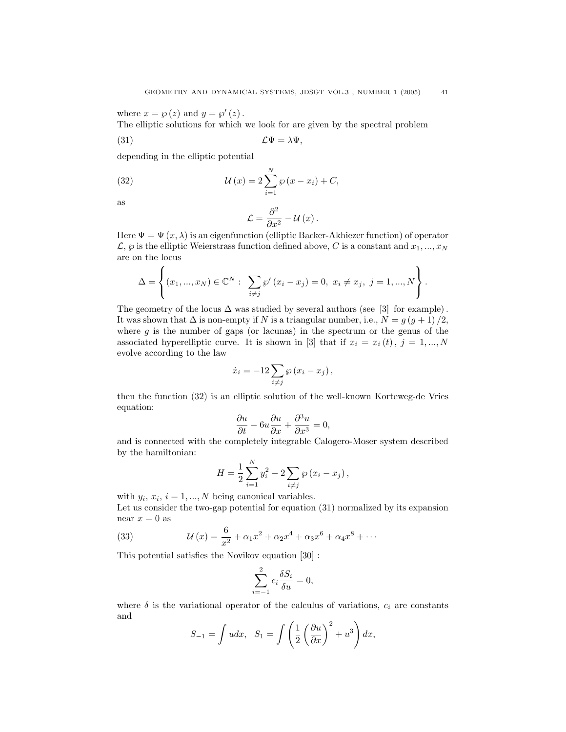where  $x = \wp(z)$  and  $y = \wp'(z)$ .

The elliptic solutions for which we look for are given by the spectral problem

N

$$
(31) \t\t \mathcal{L}\Psi = \lambda\Psi,
$$

depending in the elliptic potential

(32) 
$$
\mathcal{U}(x) = 2\sum_{i=1}^{N} \varphi(x - x_i) + C,
$$

as

$$
\mathcal{L}=\frac{\partial^{2}}{\partial x^{2}}-\mathcal{U}\left( x\right) .
$$

Here  $\Psi = \Psi(x, \lambda)$  is an eigenfunction (elliptic Backer-Akhiezer function) of operator  $\mathcal{L}, \varphi$  is the elliptic Weierstrass function defined above, C is a constant and  $x_1, ..., x_N$ are on the locus  $\frac{1}{2}$  $\ddot{\phantom{a}}$ 

$$
\Delta = \left\{ (x_1, ..., x_N) \in \mathbb{C}^N : \sum_{i \neq j} \wp'(x_i - x_j) = 0, \ x_i \neq x_j, \ j = 1, ..., N \right\}.
$$

The geometry of the locus  $\Delta$  was studied by several authors (see [3] for example). It was shown that  $\Delta$  is non-empty if N is a triangular number, i.e.,  $N = g (g + 1) / 2$ , where  $q$  is the number of gaps (or lacunas) in the spectrum or the genus of the associated hyperelliptic curve. It is shown in [3] that if  $x_i = x_i(t)$ ,  $j = 1, ..., N$ evolve according to the law

$$
\dot{x}_i = -12 \sum_{i \neq j} \varphi (x_i - x_j),
$$

then the function (32) is an elliptic solution of the well-known Korteweg-de Vries equation:

$$
\frac{\partial u}{\partial t} - 6u \frac{\partial u}{\partial x} + \frac{\partial^3 u}{\partial x^3} = 0,
$$

and is connected with the completely integrable Calogero-Moser system described by the hamiltonian:

$$
H = \frac{1}{2} \sum_{i=1}^{N} y_i^2 - 2 \sum_{i \neq j} \wp (x_i - x_j),
$$

with  $y_i, x_i, i = 1, ..., N$  being canonical variables.

Let us consider the two-gap potential for equation (31) normalized by its expansion near  $x = 0$  as

(33) 
$$
\mathcal{U}(x) = \frac{6}{x^2} + \alpha_1 x^2 + \alpha_2 x^4 + \alpha_3 x^6 + \alpha_4 x^8 + \cdots
$$

This potential satisfies the Novikov equation [30] :

$$
\sum_{i=-1}^{2} c_i \frac{\delta S_i}{\delta u} = 0,
$$

where  $\delta$  is the variational operator of the calculus of variations,  $c_i$  are constants and  $\overline{a}$ !<br>!

$$
S_{-1} = \int u dx, \quad S_1 = \int \left(\frac{1}{2}\left(\frac{\partial u}{\partial x}\right)^2 + u^3\right) dx,
$$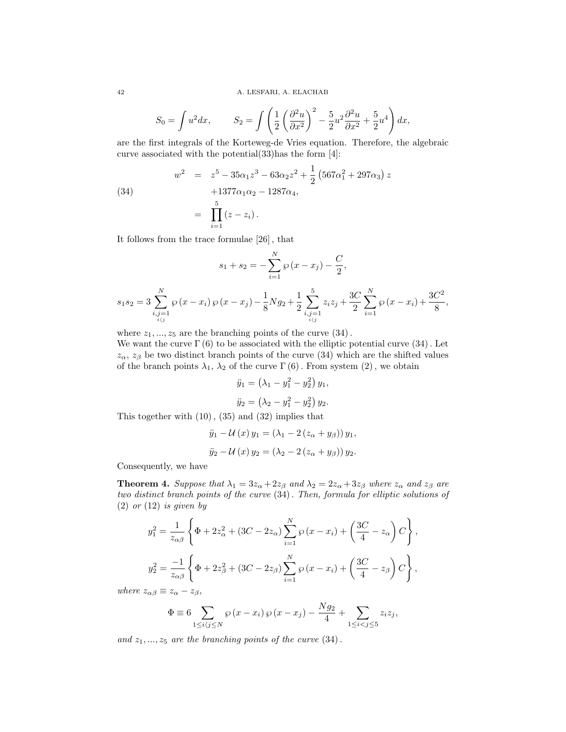$$
S_0 = \int u^2 dx, \qquad S_2 = \int \left(\frac{1}{2}\left(\frac{\partial^2 u}{\partial x^2}\right)^2 - \frac{5}{2}u^2\frac{\partial^2 u}{\partial x^2} + \frac{5}{2}u^4\right) dx,
$$

are the first integrals of the Korteweg-de Vries equation. Therefore, the algebraic curve associated with the potential(33)has the form [4]:

(34)  
\n
$$
w^{2} = z^{5} - 35\alpha_{1}z^{3} - 63\alpha_{2}z^{2} + \frac{1}{2}(567\alpha_{1}^{2} + 297\alpha_{3}) z + 1377\alpha_{1}\alpha_{2} - 1287\alpha_{4},
$$
\n
$$
= \prod_{i=1}^{5} (z - z_{i}).
$$

It follows from the trace formulae [26] , that

$$
s_1 + s_2 = -\sum_{i=1}^{N} \wp(x - x_i) - \frac{C}{2},
$$
  

$$
s_1 s_2 = 3 \sum_{i,j=1 \atop i \neq j}^{N} \wp(x - x_i) \wp(x - x_j) - \frac{1}{8} N g_2 + \frac{1}{2} \sum_{i,j=1 \atop i \neq j}^{5} z_i z_j + \frac{3C}{2} \sum_{i=1}^{N} \wp(x - x_i) + \frac{3C^2}{8},
$$

where  $z_1, ..., z_5$  are the branching points of the curve  $(34)$ .

We want the curve  $\Gamma(6)$  to be associated with the elliptic potential curve (34). Let  $z_{\alpha}$ ,  $z_{\beta}$  be two distinct branch points of the curve (34) which are the shifted values of the branch points  $\lambda_1$ ,  $\lambda_2$  of the curve  $\Gamma(6)$ . From system (2), we obtain

$$
\ddot{y}_1 = \left(\lambda_1 - y_1^2 - y_2^2\right) y_1, \n\ddot{y}_2 = \left(\lambda_2 - y_1^2 - y_2^2\right) y_2.
$$

This together with (10), (35) and (32) implies that

$$
\ddot{y}_1 - \mathcal{U}(x) y_1 = (\lambda_1 - 2 (z_\alpha + y_\beta)) y_1,
$$
  

$$
\ddot{y}_2 - \mathcal{U}(x) y_2 = (\lambda_2 - 2 (z_\alpha + y_\beta)) y_2.
$$

Consequently, we have

**Theorem 4.** Suppose that  $\lambda_1 = 3z_\alpha + 2z_\beta$  and  $\lambda_2 = 2z_\alpha + 3z_\beta$  where  $z_\alpha$  and  $z_\beta$  are two distinct branch points of the curve (34). Then, formula for elliptic solutions of  $(2)$  or  $(12)$  is given by

$$
y_1^2 = \frac{1}{z_{\alpha\beta}} \left\{ \Phi + 2z_{\alpha}^2 + (3C - 2z_{\alpha}) \sum_{i=1}^N \wp(x - x_i) + \left( \frac{3C}{4} - z_{\alpha} \right) C \right\},
$$
  

$$
y_2^2 = \frac{-1}{z_{\alpha\beta}} \left\{ \Phi + 2z_{\beta}^2 + (3C - 2z_{\beta}) \sum_{i=1}^N \wp(x - x_i) + \left( \frac{3C}{4} - z_{\beta} \right) C \right\},
$$

where  $z_{\alpha\beta} \equiv z_{\alpha} - z_{\beta}$ ,

$$
\Phi \equiv 6 \sum_{1 \le i \langle j \le N} \wp(x - x_i) \wp(x - x_j) - \frac{N g_2}{4} + \sum_{1 \le i < j \le 5} z_i z_j,
$$

and  $z_1, ..., z_5$  are the branching points of the curve  $(34)$ .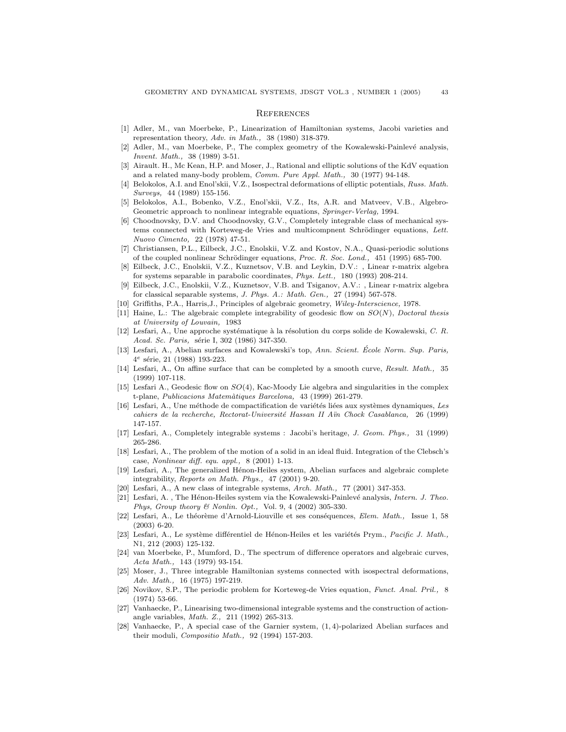#### **REFERENCES**

- [1] Adler, M., van Moerbeke, P., Linearization of Hamiltonian systems, Jacobi varieties and representation theory, Adv. in Math., 38 (1980) 318-379.
- [2] Adler, M., van Moerbeke, P., The complex geometry of the Kowalewski-Painlevé analysis, Invent. Math., 38 (1989) 3-51.
- [3] Airault. H., Mc Kean, H.P. and Moser, J., Rational and elliptic solutions of the KdV equation and a related many-body problem, *Comm. Pure Appl. Math.*, 30 (1977) 94-148.
- [4] Belokolos, A.I. and Enol'skii, V.Z., Isospectral deformations of elliptic potentials, Russ. Math. Surveys, 44 (1989) 155-156.
- [5] Belokolos, A.I., Bobenko, V.Z., Enol'skii, V.Z., Its, A.R. and Matveev, V.B., Algebro-Geometric approach to nonlinear integrable equations, Springer-Verlag, 1994.
- [6] Choodnovsky, D.V. and Choodnovsky, G.V., Completely integrable class of mechanical systems connected with Korteweg-de Vries and multicompnent Schrödinger equations, Lett. Nuovo Cimento, 22 (1978) 47-51.
- [7] Christiansen, P.L., Eilbeck, J.C., Enolskii, V.Z. and Kostov, N.A., Quasi-periodic solutions of the coupled nonlinear Schrödinger equations, Proc. R. Soc. Lond., 451 (1995) 685-700.
- [8] Eilbeck, J.C., Enolskii, V.Z., Kuznetsov, V.B. and Leykin, D.V.: , Linear r-matrix algebra for systems separable in parabolic coordinates, Phys. Lett., 180 (1993) 208-214.
- [9] Eilbeck, J.C., Enolskii, V.Z., Kuznetsov, V.B. and Tsiganov, A.V.: , Linear r-matrix algebra for classical separable systems, J. Phys. A.: Math. Gen., 27 (1994) 567-578.
- [10] Griffiths, P.A., Harris,J., Principles of algebraic geometry, Wiley-Interscience, 1978.
- [11] Haine, L.: The algebraic complete integrability of geodesic flow on  $SO(N)$ , Doctoral thesis at University of Louvain, 1983
- [12] Lesfari, A., Une approche systématique à la résolution du corps solide de Kowalewski, C. R. Acad. Sc. Paris, série I, 302 (1986) 347-350.
- [13] Lesfari, A., Abelian surfaces and Kowalewski's top, Ann. Scient. Ecole Norm. Sup. Paris, 4<sup>e</sup> série, 21 (1988) 193-223.
- [14] Lesfari, A., On affine surface that can be completed by a smooth curve, Result. Math., 35 (1999) 107-118.
- [15] Lesfari A., Geodesic flow on SO(4), Kac-Moody Lie algebra and singularities in the complex t-plane, Publicacions Matem`atiques Barcelona, 43 (1999) 261-279.
- [16] Lesfari, A., Une méthode de compactification de variétés liées aux systèmes dynamiques, Les cahiers de la recherche, Rectorat-Université Hassan II Aïn Chock Casablanca, 26 (1999) 147-157.
- [17] Lesfari, A., Completely integrable systems : Jacobi's heritage, J. Geom. Phys., 31 (1999) 265-286.
- [18] Lesfari, A., The problem of the motion of a solid in an ideal fluid. Integration of the Clebsch's case, Nonlinear diff. equ. appl., 8 (2001) 1-13.
- [19] Lesfari, A., The generalized H´enon-Heiles system, Abelian surfaces and algebraic complete integrability, Reports on Math. Phys., 47 (2001) 9-20.
- [20] Lesfari, A., A new class of integrable systems, Arch. Math., 77 (2001) 347-353.
- [21] Lesfari, A., The Hénon-Heiles system via the Kowalewski-Painlevé analysis, Intern. J. Theo. Phys, Group theory & Nonlin. Opt., Vol. 9, 4 (2002) 305-330.
- [22] Lesfari, A., Le théorème d'Arnold-Liouville et ses conséquences, Elem. Math., Issue 1, 58 (2003) 6-20.
- [23] Lesfari, A., Le système différentiel de Hénon-Heiles et les variétés Prym., Pacific J. Math., N1, 212 (2003) 125-132.
- [24] van Moerbeke, P., Mumford, D., The spectrum of difference operators and algebraic curves, Acta Math., 143 (1979) 93-154.
- [25] Moser, J., Three integrable Hamiltonian systems connected with isospectral deformations, Adv. Math., 16 (1975) 197-219.
- [26] Novikov, S.P., The periodic problem for Korteweg-de Vries equation, Funct. Anal. Pril., 8 (1974) 53-66.
- [27] Vanhaecke, P., Linearising two-dimensional integrable systems and the construction of actionangle variables, Math. Z., 211 (1992) 265-313.
- [28] Vanhaecke, P., A special case of the Garnier system, (1, 4)-polarized Abelian surfaces and their moduli, Compositio Math., 92 (1994) 157-203.